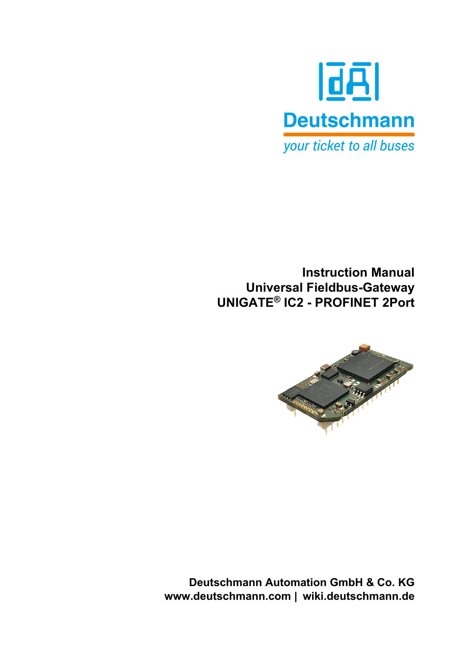

**Instruction Manual Universal Fieldbus-Gateway UNIGATE® IC2 - PROFINET 2Port**



**Deutschmann Automation GmbH & Co. KG www.deutschmann.com | wiki.deutschmann.de**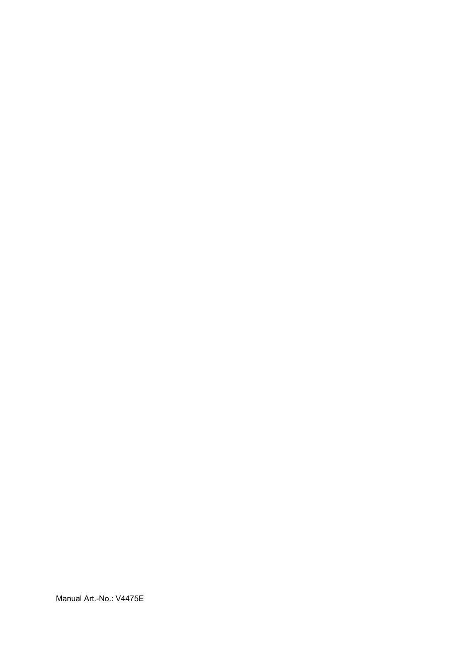Manual Art.-No.: V4475E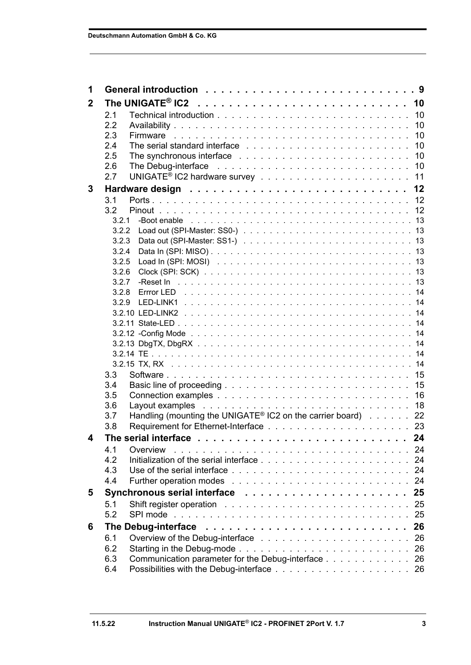| 1            |       |                                                                                       |    |
|--------------|-------|---------------------------------------------------------------------------------------|----|
| $\mathbf{2}$ |       |                                                                                       |    |
|              | 2.1   |                                                                                       |    |
|              | 2.2   |                                                                                       |    |
|              | 2.3   |                                                                                       |    |
|              | 2.4   |                                                                                       |    |
|              | 2.5   |                                                                                       |    |
|              | 2.6   |                                                                                       |    |
|              | 2.7   |                                                                                       |    |
| 3            |       |                                                                                       |    |
|              | 3.1   |                                                                                       |    |
|              | 3.2   |                                                                                       |    |
|              | 3.2.1 |                                                                                       |    |
|              |       |                                                                                       |    |
|              | 3.2.3 |                                                                                       |    |
|              | 3.2.4 |                                                                                       |    |
|              | 3.2.5 |                                                                                       |    |
|              | 3.2.6 |                                                                                       |    |
|              | 3.2.7 |                                                                                       |    |
|              | 3.2.8 |                                                                                       |    |
|              |       |                                                                                       |    |
|              |       |                                                                                       |    |
|              |       |                                                                                       |    |
|              |       |                                                                                       |    |
|              |       |                                                                                       |    |
|              |       |                                                                                       |    |
|              |       |                                                                                       |    |
|              | 3.3   |                                                                                       |    |
|              | 3.4   |                                                                                       |    |
|              | 3.5   |                                                                                       |    |
|              | 3.6   |                                                                                       |    |
|              | 3.7   | Handling (mounting the UNIGATE <sup>®</sup> IC2 on the carrier board) 22              |    |
|              | 3.8   |                                                                                       |    |
| 4            |       | The serial interface $\ldots \ldots \ldots \ldots \ldots \ldots \ldots \ldots \ldots$ |    |
|              | 4.1   | Overview                                                                              |    |
|              | 4.2   | -24                                                                                   |    |
|              | 4.3   |                                                                                       | 24 |
|              | 4.4   |                                                                                       | 24 |
| 5            |       | 25                                                                                    |    |
|              | 5.1   |                                                                                       | 25 |
|              | 5.2   | SPI mode                                                                              | 25 |
| 6            |       | 26                                                                                    |    |
|              | 6.1   |                                                                                       | 26 |
|              | 6.2   |                                                                                       | 26 |
|              | 6.3   | Communication parameter for the Debug-interface                                       | 26 |
|              | 6.4   |                                                                                       |    |
|              |       |                                                                                       |    |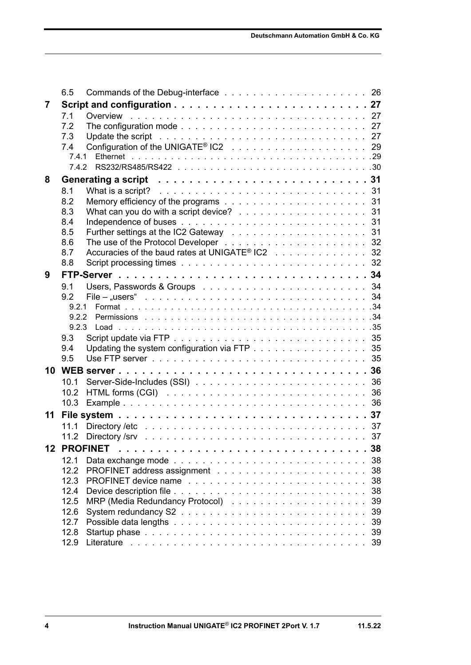|    | 6.5          |                                                             |          |
|----|--------------|-------------------------------------------------------------|----------|
| 7  |              |                                                             |          |
|    | 7.1          |                                                             |          |
|    | 7.2          |                                                             |          |
|    | 7.3          |                                                             |          |
|    | 7.4          |                                                             |          |
|    | 7.4.1        |                                                             |          |
|    |              |                                                             |          |
| 8  |              |                                                             |          |
|    | 8.1          |                                                             |          |
|    | 8.2<br>8.3   | What can you do with a script device? 31                    |          |
|    | 8.4          |                                                             |          |
|    | 8.5          |                                                             |          |
|    | 8.6          |                                                             |          |
|    | 8.7          | Accuracies of the baud rates at UNIGATE <sup>®</sup> IC2 32 |          |
|    | 8.8          |                                                             |          |
| 9  |              |                                                             |          |
|    | 9.1          |                                                             |          |
|    | 92           |                                                             |          |
|    | 9.2.1        |                                                             |          |
|    | 9.2.2        |                                                             |          |
|    |              |                                                             |          |
|    | 9.3          |                                                             |          |
|    | 9.4          | Updating the system configuration via FTP 35                |          |
|    | 9.5          |                                                             |          |
| 10 |              |                                                             |          |
|    | 10.1         |                                                             |          |
|    | 10.2<br>10.3 |                                                             |          |
|    |              |                                                             |          |
| 11 |              |                                                             |          |
|    | 11.1         |                                                             |          |
|    |              |                                                             |          |
|    |              | <b>12 PROFINET</b>                                          | 38       |
|    | 12.1<br>12.2 |                                                             | 38<br>38 |
|    | 12.3         |                                                             | 38       |
|    | 12.4         |                                                             | 38       |
|    | 12.5         |                                                             | 39       |
|    | 12.6         |                                                             | 39       |
|    | 12.7         |                                                             | 39       |
|    | 12.8         |                                                             | 39       |
|    | 12.9         |                                                             | 39       |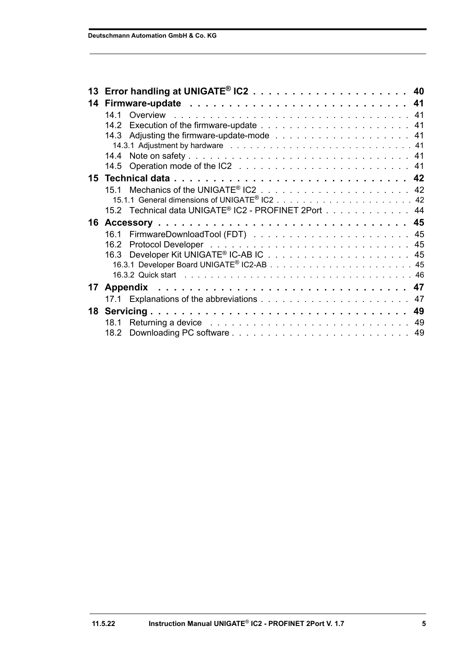| 14<br>141<br>151<br>15.2 Technical data UNIGATE® IC2 - PROFINET 2Port 44<br>16 |  |
|--------------------------------------------------------------------------------|--|
|                                                                                |  |
|                                                                                |  |
|                                                                                |  |
|                                                                                |  |
|                                                                                |  |
|                                                                                |  |
|                                                                                |  |
|                                                                                |  |
|                                                                                |  |
|                                                                                |  |
|                                                                                |  |
|                                                                                |  |
|                                                                                |  |
| 16.2                                                                           |  |
|                                                                                |  |
|                                                                                |  |
|                                                                                |  |
| 17                                                                             |  |
|                                                                                |  |
| Servicing 49<br>18                                                             |  |
| 18.1                                                                           |  |
| 18.2                                                                           |  |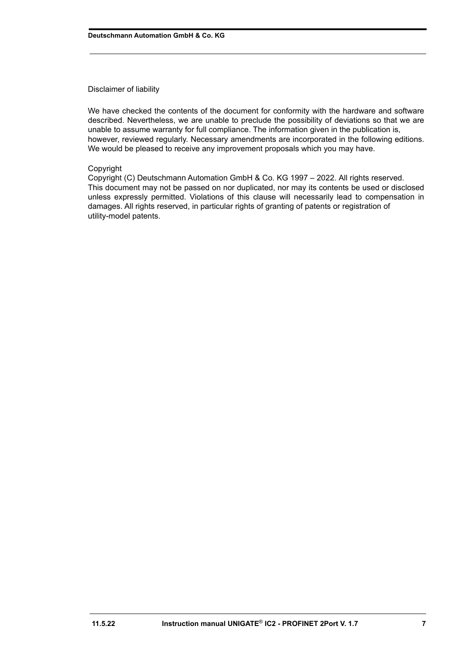#### Disclaimer of liability

We have checked the contents of the document for conformity with the hardware and software described. Nevertheless, we are unable to preclude the possibility of deviations so that we are unable to assume warranty for full compliance. The information given in the publication is, however, reviewed regularly. Necessary amendments are incorporated in the following editions. We would be pleased to receive any improvement proposals which you may have.

#### Copyright

Copyright (C) Deutschmann Automation GmbH & Co. KG 1997 – 2022. All rights reserved. This document may not be passed on nor duplicated, nor may its contents be used or disclosed unless expressly permitted. Violations of this clause will necessarily lead to compensation in damages. All rights reserved, in particular rights of granting of patents or registration of utility-model patents.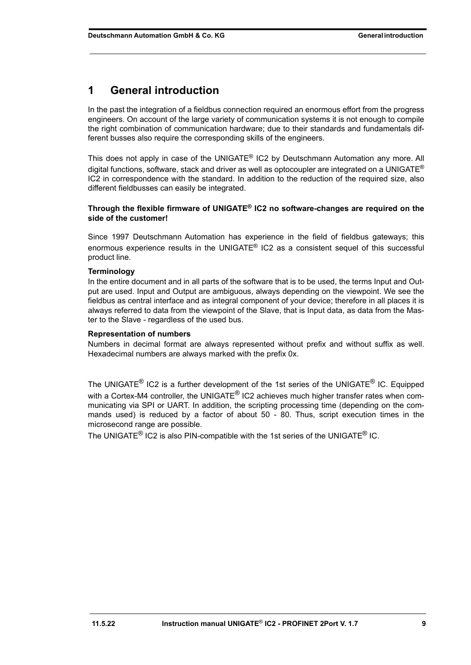# <span id="page-8-0"></span>**1 General introduction**

In the past the integration of a fieldbus connection required an enormous effort from the progress engineers. On account of the large variety of communication systems it is not enough to compile the right combination of communication hardware; due to their standards and fundamentals different busses also require the corresponding skills of the engineers.

This does not apply in case of the UNIGATE<sup>®</sup> IC2 by Deutschmann Automation any more. All digital functions, software, stack and driver as well as optocoupler are integrated on a UNIGATE<sup>®</sup> IC2 in correspondence with the standard. In addition to the reduction of the required size, also different fieldbusses can easily be integrated.

#### **Through the flexible firmware of UNIGATE® IC2 no software-changes are required on the side of the customer!**

Since 1997 Deutschmann Automation has experience in the field of fieldbus gateways; this enormous experience results in the UNIGATE® IC2 as a consistent sequel of this successful product line.

#### **Terminology**

In the entire document and in all parts of the software that is to be used, the terms Input and Output are used. Input and Output are ambiguous, always depending on the viewpoint. We see the fieldbus as central interface and as integral component of your device; therefore in all places it is always referred to data from the viewpoint of the Slave, that is Input data, as data from the Master to the Slave - regardless of the used bus.

#### **Representation of numbers**

Numbers in decimal format are always represented without prefix and without suffix as well. Hexadecimal numbers are always marked with the prefix 0x.

The UNIGATE<sup>®</sup> IC2 is a further development of the 1st series of the UNIGATE<sup>®</sup> IC. Equipped with a Cortex-M4 controller, the UNIGATE<sup>®</sup> IC2 achieves much higher transfer rates when communicating via SPI or UART. In addition, the scripting processing time (depending on the commands used) is reduced by a factor of about 50 - 80. Thus, script execution times in the microsecond range are possible.

The UNIGATE<sup>®</sup> IC2 is also PIN-compatible with the 1st series of the UNIGATE<sup>®</sup> IC.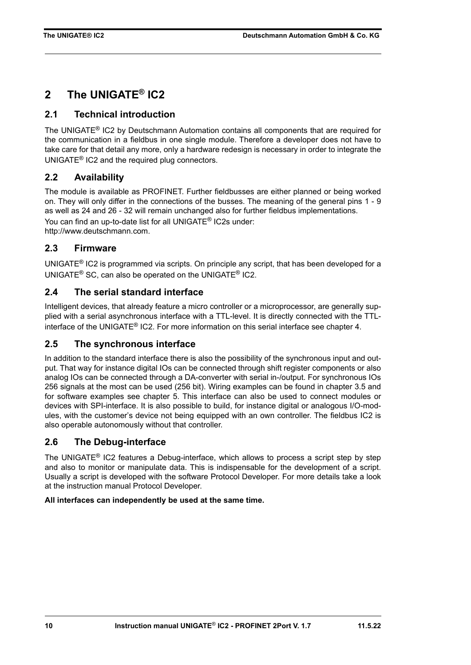# <span id="page-9-0"></span>**2 The UNIGATE® IC2**

### <span id="page-9-1"></span>**2.1 Technical introduction**

The UNIGATE® IC2 by Deutschmann Automation contains all components that are required for the communication in a fieldbus in one single module. Therefore a developer does not have to take care for that detail any more, only a hardware redesign is necessary in order to integrate the UNIGATE® IC2 and the required plug connectors.

### <span id="page-9-2"></span>**2.2 Availability**

The module is available as PROFINET. Further fieldbusses are either planned or being worked on. They will only differ in the connections of the busses. The meaning of the general pins 1 - 9 as well as 24 and 26 - 32 will remain unchanged also for further fieldbus implementations. You can find an up-to-date list for all UNIGATE® IC2s under: http://www.deutschmann.com.

### <span id="page-9-3"></span>**2.3 Firmware**

UNIGATE<sup>®</sup> IC2 is programmed via scripts. On principle any script, that has been developed for a UNIGATE® SC, can also be operated on the UNIGATE® IC2.

### <span id="page-9-4"></span>**2.4 The serial standard interface**

Intelligent devices, that already feature a micro controller or a microprocessor, are generally supplied with a serial asynchronous interface with a TTL-level. It is directly connected with the TTLinterface of the UNIGATE® IC2. For more information on this serial interface see [chapter 4](#page-23-0).

### <span id="page-9-5"></span>**2.5 The synchronous interface**

In addition to the standard interface there is also the possibility of the synchronous input and output. That way for instance digital IOs can be connected through shift register components or also analog IOs can be connected through a DA-converter with serial in-/output. For synchronous IOs 256 signals at the most can be used (256 bit). Wiring examples can be found in [chapter 3.5](#page-15-0) and for software examples see [chapter 5](#page-24-0). This interface can also be used to connect modules or devices with SPI-interface. It is also possible to build, for instance digital or analogous I/O-modules, with the customer's device not being equipped with an own controller. The fieldbus IC2 is also operable autonomously without that controller.

### <span id="page-9-6"></span>**2.6 The Debug-interface**

The UNIGATE® IC2 features a Debug-interface, which allows to process a script step by step and also to monitor or manipulate data. This is indispensable for the development of a script. Usually a script is developed with the software Protocol Developer. For more details take a look at the instruction manual Protocol Developer.

#### **All interfaces can independently be used at the same time.**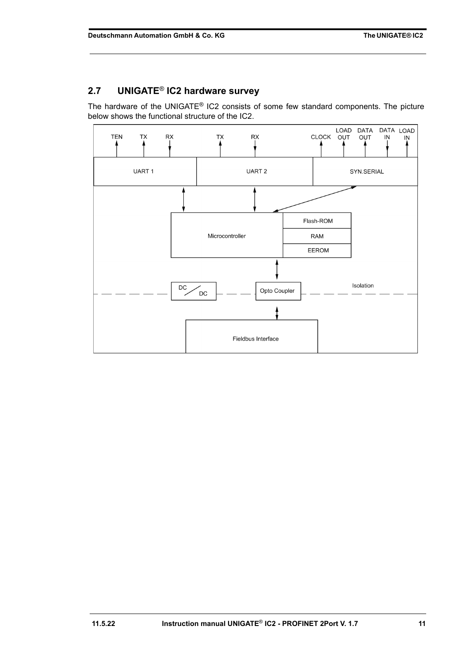# <span id="page-10-0"></span>**2.7 UNIGATE**® **IC2 hardware survey**

The hardware of the UNIGATE® IC2 consists of some few standard components. The picture below shows the functional structure of the IC2.

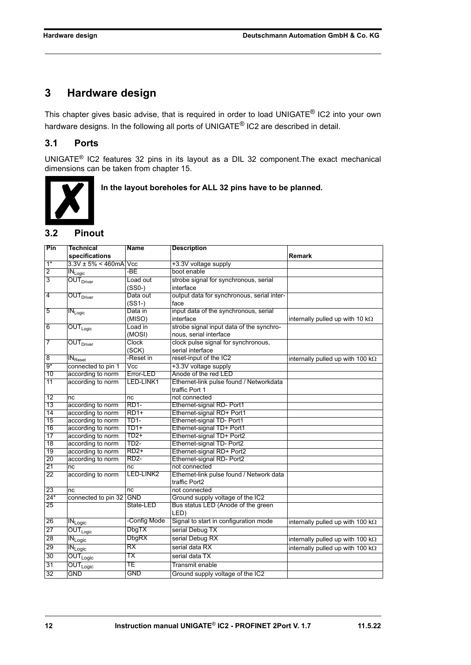# <span id="page-11-0"></span>**3 Hardware design**

This chapter gives basic advise, that is required in order to load UNIGATE<sup>®</sup> IC2 into your own hardware designs. In the following all ports of UNIGATE<sup>®</sup> IC2 are described in detail.

### <span id="page-11-1"></span>**3.1 Ports**

UNIGATE® IC2 features 32 pins in its layout as a DIL 32 component.The exact mechanical dimensions can be taken from [chapter 15](#page-41-0).



 **In the layout boreholes for ALL 32 pins have to be planned.**

### <span id="page-11-2"></span>**3.2 Pinout**

| Pin                     | <b>Technical</b>                         | <b>Name</b>       | <b>Description</b>                         |                                          |
|-------------------------|------------------------------------------|-------------------|--------------------------------------------|------------------------------------------|
|                         | specifications                           |                   |                                            | <b>Remark</b>                            |
| $1*$                    | $3.3V \pm 5\% \leq 460$ mA Vcc           |                   | +3.3V voltage supply                       |                                          |
| $\overline{2}$          | $IN_{Logic}$                             | -BE               | boot enable                                |                                          |
| $\overline{3}$          | OUT <sub>Direct</sub>                    | Load out          | strobe signal for synchronous, serial      |                                          |
|                         |                                          | $(SSO-)$          | interface                                  |                                          |
| $\overline{\mathbf{4}}$ | <b>OUT</b> Driver                        | Data out          | output data for synchronous, serial inter- |                                          |
|                         |                                          | $(SS1-)$          | face                                       |                                          |
| $\overline{5}$          | $IN_{Logic}$                             | Data in           | input data of the synchronous, serial      |                                          |
|                         |                                          | (MISO)            | interface                                  | internally pulled up with 10 $k\Omega$   |
| 6                       | $OUT_{Logic}$                            | Load in           | strobe signal input data of the synchro-   |                                          |
|                         |                                          | (MOSI)            | nous, serial interface                     |                                          |
| 7                       | $\overline{\text{OUT}}_{\text{Driver}}$  | Clock             | clock pulse signal for synchronous,        |                                          |
|                         |                                          | (SCK)             | serial interface                           |                                          |
| $\overline{8}$          | IN <sub>Rest</sub>                       | -Reset in         | reset-input of the IC2                     | internally pulled up with 100 k $\Omega$ |
| $9*$                    | connected to pin 1                       | Vcc               | +3.3V voltage supply                       |                                          |
| 10                      | according to norm                        | Error-LED         | Anode of the red LED                       |                                          |
| 11                      | according to norm                        | LED-LINK1         | Ethernet-link pulse found / Networkdata    |                                          |
|                         |                                          |                   | traffic Port 1                             |                                          |
| 12                      | nc                                       | nc                | not connected                              |                                          |
| 13                      | according to norm                        | <b>RD1-</b>       | Ethernet-signal RD- Port1                  |                                          |
| 14                      | according to norm                        | $RD1+$            | Ethernet-signal RD+ Port1                  |                                          |
| 15                      | according to norm                        | <b>TD1-</b>       | Ethernet-signal TD- Port1                  |                                          |
| 16                      | according to norm                        | $TD1+$            | Ethernet-signal TD+ Port1                  |                                          |
| 17                      | according to norm                        | $TD2+$            | Ethernet-signal TD+ Port2                  |                                          |
| 18                      | according to norm                        | TD <sub>2</sub> - | Ethernet-signal TD- Port2                  |                                          |
| 19                      | according to norm                        | $RD2+$            | Ethernet-signal RD+ Port2                  |                                          |
| 20                      | according to norm                        | <b>RD2-</b>       | Ethernet-signal RD- Port2                  |                                          |
| 21                      | nc                                       | nc                | not connected                              |                                          |
| 22                      | according to norm                        | LED-LINK2         | Ethernet-link pulse found / Network data   |                                          |
|                         |                                          |                   | traffic Port2                              |                                          |
| 23                      | nc                                       | nc                | not connected                              |                                          |
| $24*$                   | connected to pin 32 GND                  |                   | Ground supply voltage of the IC2           |                                          |
| 25                      |                                          | State-LED         | Bus status LED (Anode of the green         |                                          |
|                         |                                          |                   | LED)                                       |                                          |
| 26                      | $\overline{\text{IN}}_{\text{Logic}}$    | -Config Mode      | Signal to start in configuration mode      | internally pulled up with 100 $k\Omega$  |
| 27                      | $OUT_{Logic}$                            | <b>DbgTX</b>      | serial Debug TX                            |                                          |
| 28                      | $\overline{\text{IN}}_{\text{Logic}}$    | <b>DbgRX</b>      | serial Debug RX                            | internally pulled up with 100 $k\Omega$  |
| 29                      | $\overline{\text{IN}_{\text{Logic}}}$    | RX                | serial data RX                             | internally pulled up with 100 k $\Omega$ |
| 30                      | $\overline{\text{OUT}_{\text{Logic}}}$   | ТX                | serial data TX                             |                                          |
| 31                      | $\overline{\mathsf{OUT}}_\mathsf{Logic}$ | TE                | Transmit enable                            |                                          |
| 32                      | <b>GND</b>                               | <b>GND</b>        | Ground supply voltage of the IC2           |                                          |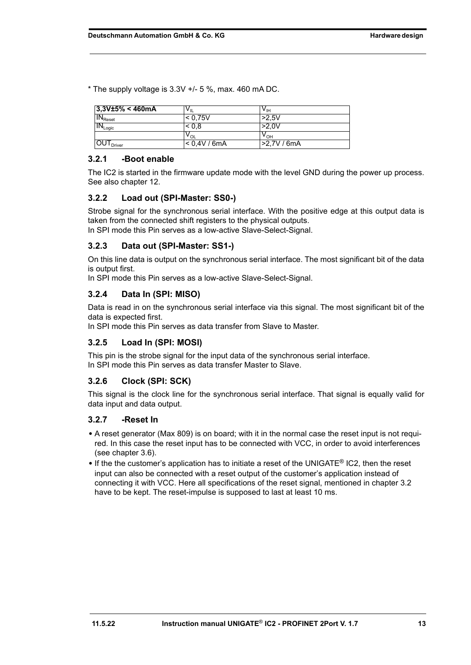$*$  The supply voltage is 3.3V  $+/-$  5 %, max. 460 mA DC.

| $3,3V±5\% < 460mA$           | VIL          | $\mathsf{v}_{\mathsf{I}\mathsf{H}}$ |  |
|------------------------------|--------------|-------------------------------------|--|
| $IN_{\text{Reset}}$          | < 0.75V      | >2.5V                               |  |
| $IN_{Logic}$                 | 0.8          | >2.0V                               |  |
|                              | $V_{OL}$     | ∨он                                 |  |
| <b>OUT</b> <sub>Driver</sub> | < 0.4V / 6mA | >2.7V/6mA                           |  |

#### <span id="page-12-0"></span>**3.2.1 -Boot enable**

The IC2 is started in the firmware update mode with the level GND during the power up process. See also [chapter 12](#page-37-0).

#### <span id="page-12-1"></span>**3.2.2 Load out (SPI-Master: SS0-)**

Strobe signal for the synchronous serial interface. With the positive edge at this output data is taken from the connected shift registers to the physical outputs. In SPI mode this Pin serves as a low-active Slave-Select-Signal.

#### <span id="page-12-2"></span>**3.2.3 Data out (SPI-Master: SS1-)**

On this line data is output on the synchronous serial interface. The most significant bit of the data is output first.

In SPI mode this Pin serves as a low-active Slave-Select-Signal.

#### <span id="page-12-3"></span>**3.2.4 Data In (SPI: MISO)**

Data is read in on the synchronous serial interface via this signal. The most significant bit of the data is expected first.

In SPI mode this Pin serves as data transfer from Slave to Master.

#### <span id="page-12-4"></span>**3.2.5 Load In (SPI: MOSI)**

This pin is the strobe signal for the input data of the synchronous serial interface. In SPI mode this Pin serves as data transfer Master to Slave.

#### <span id="page-12-5"></span>**3.2.6 Clock (SPI: SCK)**

This signal is the clock line for the synchronous serial interface. That signal is equally valid for data input and data output.

#### <span id="page-12-6"></span>**3.2.7 -Reset In**

- **•** A reset generator (Max 809) is on board; with it in the normal case the reset input is not required. In this case the reset input has to be connected with VCC, in order to avoid interferences (see [chapter 3.6\)](#page-17-0).
- **•** If the the customer's application has to initiate a reset of the UNIGATE® IC2, then the reset input can also be connected with a reset output of the customer's application instead of connecting it with VCC. Here all specifications of the reset signal, mentioned in [chapter 3.2](#page-11-2) have to be kept. The reset-impulse is supposed to last at least 10 ms.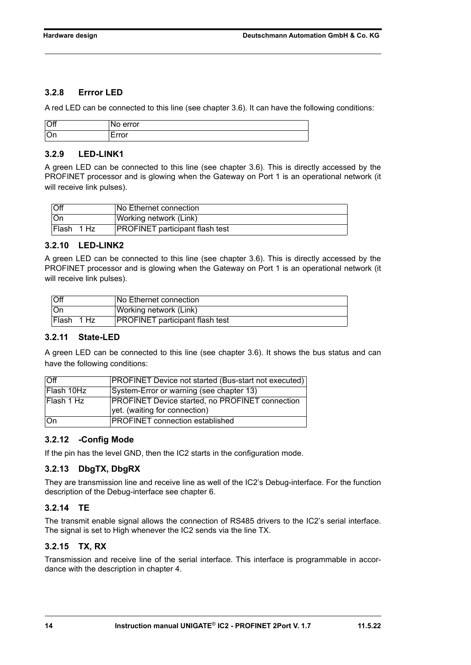#### <span id="page-13-0"></span>**3.2.8 Errror LED**

A red LED can be connected to this line (see [chapter 3.6\)](#page-17-0). It can have the following conditions:

| Off  | rror<br>∸           |
|------|---------------------|
| l On | ------<br>$\cdot$ . |

#### <span id="page-13-1"></span>**3.2.9 LED-LINK1**

A green LED can be connected to this line (see [chapter 3.6\)](#page-17-0). This is directly accessed by the PROFINET processor and is glowing when the Gateway on Port 1 is an operational network (it will receive link pulses).

| <b>Off</b> | <b>No Ethernet connection</b>          |
|------------|----------------------------------------|
| l On       | Working network (Link)                 |
| Flash 1 Hz | <b>PROFINET</b> participant flash test |

#### <span id="page-13-2"></span>**3.2.10 LED-LINK2**

A green LED can be connected to this line (see [chapter 3.6\)](#page-17-0). This is directly accessed by the PROFINET processor and is glowing when the Gateway on Port 1 is an operational network (it will receive link pulses).

| Off        | No Ethernet connection                 |
|------------|----------------------------------------|
| ∣∩n        | Working network (Link)                 |
| Flash 1 Hz | <b>PROFINET</b> participant flash test |

#### <span id="page-13-3"></span>**3.2.11 State-LED**

A green LED can be connected to this line (see [chapter 3.6](#page-17-0)). It shows the bus status and can have the following conditions:

| $\overline{M}$ | <b>PROFINET Device not started (Bus-start not executed)</b> |
|----------------|-------------------------------------------------------------|
| Flash 10Hz     | System-Error or warning (see chapter 13)                    |
| Flash 1 Hz     | <b>PROFINET Device started, no PROFINET connection</b>      |
|                | yet. (waiting for connection)                               |
| ∣On            | <b>PROFINET</b> connection established                      |

#### <span id="page-13-4"></span>**3.2.12 -Config Mode**

If the pin has the level GND, then the IC2 starts in the configuration mode.

#### <span id="page-13-5"></span>**3.2.13 DbgTX, DbgRX**

They are transmission line and receive line as well of the IC2's Debug-interface. For the function description of the Debug-interface see [chapter 6](#page-25-0).

#### <span id="page-13-6"></span>**3.2.14 TE**

The transmit enable signal allows the connection of RS485 drivers to the IC2's serial interface. The signal is set to High whenever the IC2 sends via the line TX.

#### <span id="page-13-7"></span>**3.2.15 TX, RX**

Transmission and receive line of the serial interface. This interface is programmable in accordance with the description in [chapter 4](#page-23-0).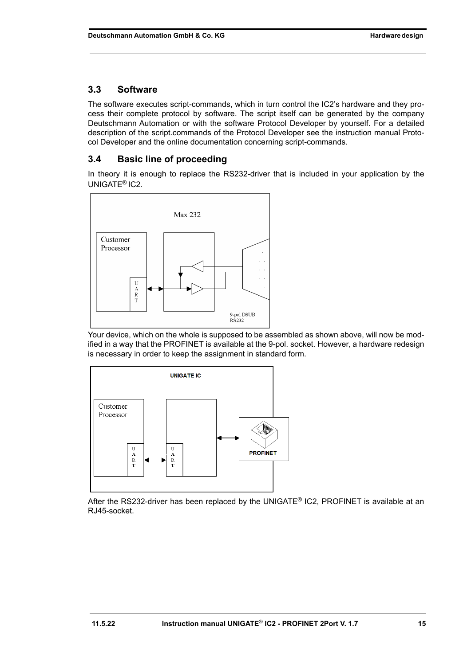### <span id="page-14-0"></span>**3.3 Software**

The software executes script-commands, which in turn control the IC2's hardware and they process their complete protocol by software. The script itself can be generated by the company Deutschmann Automation or with the software Protocol Developer by yourself. For a detailed description of the script.commands of the Protocol Developer see the instruction manual Protocol Developer and the online documentation concerning script-commands.

### <span id="page-14-1"></span>**3.4 Basic line of proceeding**

In theory it is enough to replace the RS232-driver that is included in your application by the UNIGATE® IC2.



Your device, which on the whole is supposed to be assembled as shown above, will now be modified in a way that the PROFINET is available at the 9-pol. socket. However, a hardware redesign is necessary in order to keep the assignment in standard form.



After the RS232-driver has been replaced by the UNIGATE® IC2, PROFINET is available at an RJ45-socket.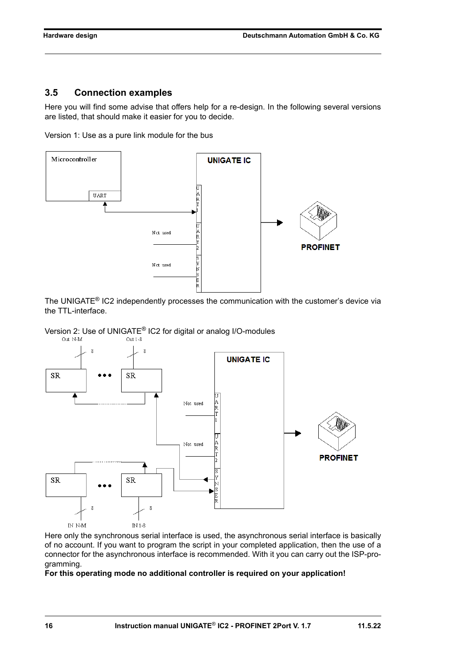#### <span id="page-15-0"></span>**3.5 Connection examples**

Here you will find some advise that offers help for a re-design. In the following several versions are listed, that should make it easier for you to decide.





The UNIGATE® IC2 independently processes the communication with the customer's device via the TTL-interface.





Here only the synchronous serial interface is used, the asynchronous serial interface is basically of no account. If you want to program the script in your completed application, then the use of a connector for the asynchronous interface is recommended. With it you can carry out the ISP-programming.

#### **For this operating mode no additional controller is required on your application!**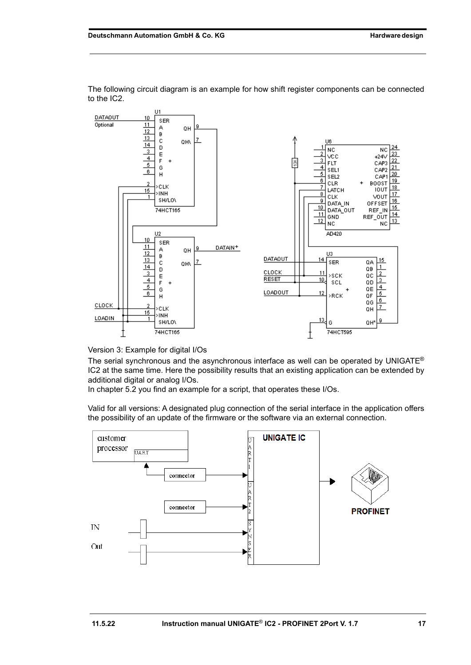

The following circuit diagram is an example for how shift register components can be connected to the IC2.

Version 3: Example for digital I/Os

The serial synchronous and the asynchronous interface as well can be operated by UNIGATE<sup>®</sup> IC2 at the same time. Here the possibility results that an existing application can be extended by additional digital or analog I/Os.

In chapter 5.2 you find an example for a script, that operates these I/Os.

Valid for all versions: A designated plug connection of the serial interface in the application offers the possibility of an update of the firmware or the software via an external connection.

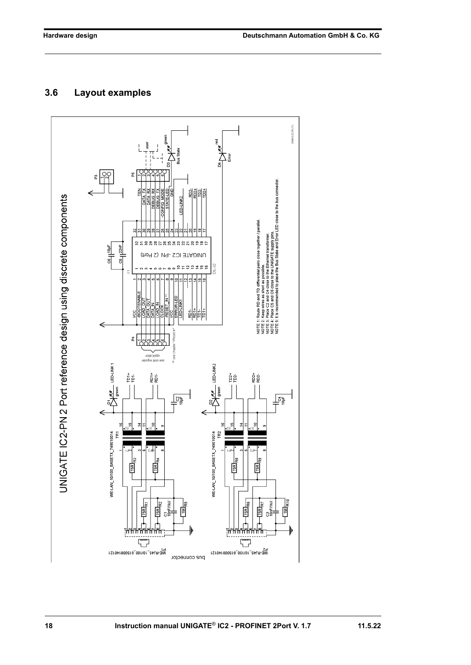## <span id="page-17-0"></span>**3.6 Layout examples**

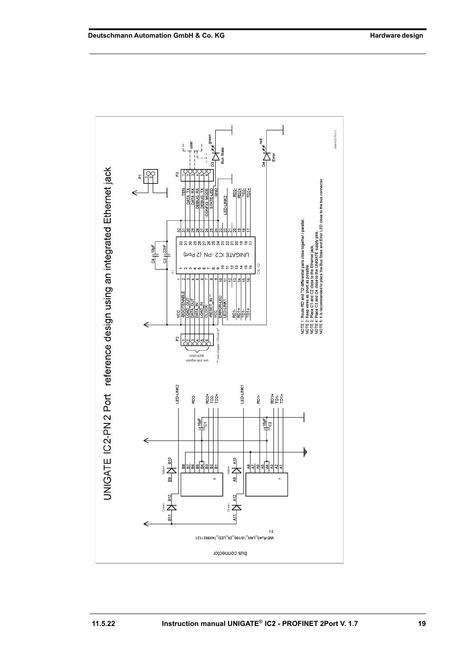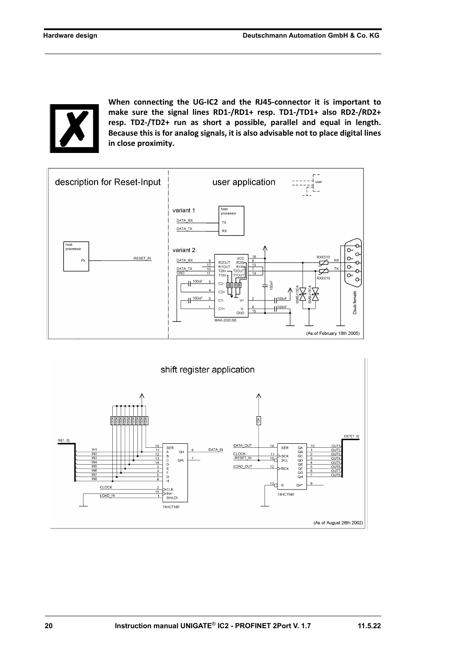**When connecting the UG-IC2 and the RJ45-connector it is important to make sure the signal lines RD1-/RD1+ resp. TD1-/TD1+ also RD2-/RD2+ resp. TD2-/TD2+ run as short a possible, parallel and equal in length. Because this is for analog signals, it is also advisable not to place digital lines in close proximity.**



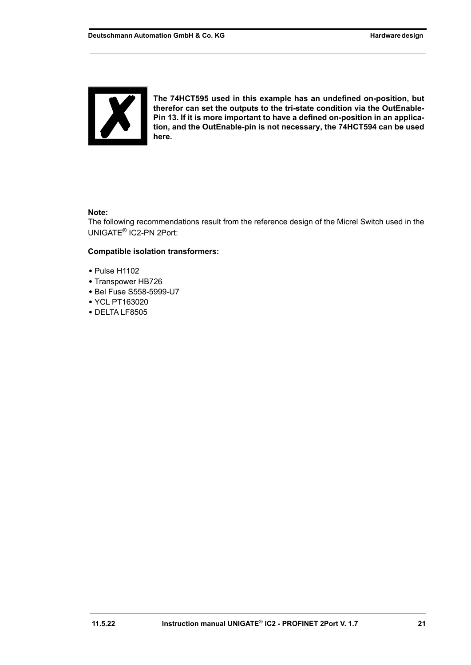

**The 74HCT595 used in this example has an undefined on-position, but therefor can set the outputs to the tri-state condition via the OutEnable-Pin 13. If it is more important to have a defined on-position in an application, and the OutEnable-pin is not necessary, the 74HCT594 can be used here.**

#### **Note:**

The following recommendations result from the reference design of the Micrel Switch used in the UNIGATE® IC2-PN 2Port:

#### **Compatible isolation transformers:**

- **•** Pulse H1102
- **•** Transpower HB726
- **•** Bel Fuse S558-5999-U7
- **•** YCL PT163020
- **•** DELTA LF8505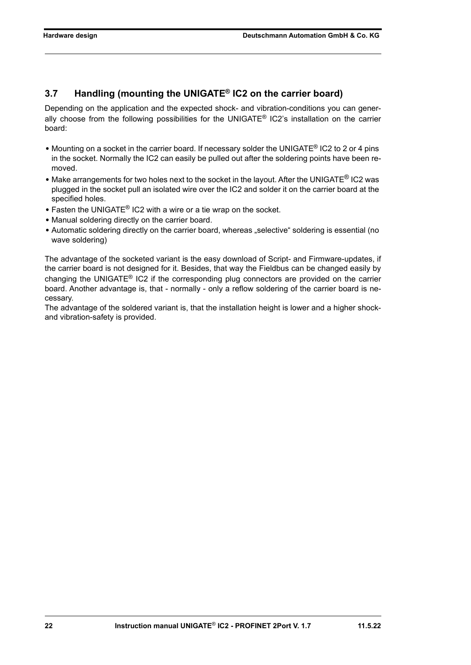# <span id="page-21-0"></span>**3.7 Handling (mounting the UNIGATE® IC2 on the carrier board)**

Depending on the application and the expected shock- and vibration-conditions you can generally choose from the following possibilities for the UNIGATE<sup>®</sup> IC2's installation on the carrier board:

- Mounting on a socket in the carrier board. If necessary solder the UNIGATE<sup>®</sup> IC2 to 2 or 4 pins in the socket. Normally the IC2 can easily be pulled out after the soldering points have been removed.
- **•** Make arrangements for two holes next to the socket in the layout. After the UNIGATE® IC2 was plugged in the socket pull an isolated wire over the IC2 and solder it on the carrier board at the specified holes.
- **•** Fasten the UNIGATE® IC2 with a wire or a tie wrap on the socket.
- **•** Manual soldering directly on the carrier board.
- Automatic soldering directly on the carrier board, whereas "selective" soldering is essential (no wave soldering)

The advantage of the socketed variant is the easy download of Script- and Firmware-updates, if the carrier board is not designed for it. Besides, that way the Fieldbus can be changed easily by changing the UNIGATE<sup>®</sup> IC2 if the corresponding plug connectors are provided on the carrier board. Another advantage is, that - normally - only a reflow soldering of the carrier board is necessary.

The advantage of the soldered variant is, that the installation height is lower and a higher shockand vibration-safety is provided.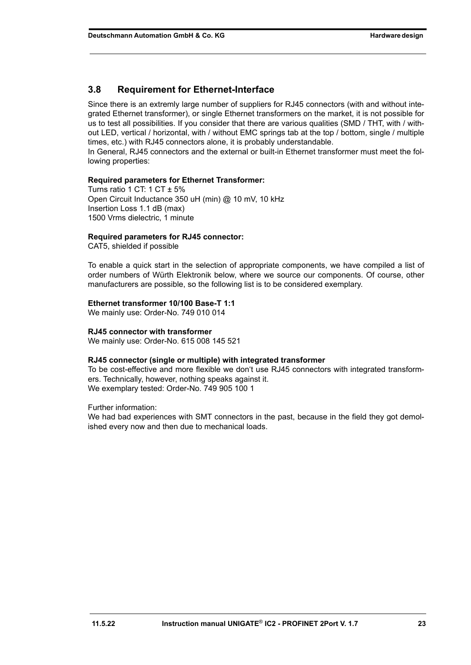#### <span id="page-22-0"></span>**3.8 Requirement for Ethernet-Interface**

Since there is an extremly large number of suppliers for RJ45 connectors (with and without integrated Ethernet transformer), or single Ethernet transformers on the market, it is not possible for us to test all possibilities. If you consider that there are various qualities (SMD / THT, with / without LED, vertical / horizontal, with / without EMC springs tab at the top / bottom, single / multiple times, etc.) with RJ45 connectors alone, it is probably understandable.

In General, RJ45 connectors and the external or built-in Ethernet transformer must meet the following properties:

#### **Required parameters for Ethernet Transformer:**

Turns ratio 1 CT: 1 CT  $\pm$  5% Open Circuit Inductance 350 uH (min) @ 10 mV, 10 kHz Insertion Loss 1.1 dB (max) 1500 Vrms dielectric, 1 minute

#### **Required parameters for RJ45 connector:**

CAT5, shielded if possible

To enable a quick start in the selection of appropriate components, we have compiled a list of order numbers of Würth Elektronik below, where we source our components. Of course, other manufacturers are possible, so the following list is to be considered exemplary.

#### **Ethernet transformer 10/100 Base-T 1:1**

We mainly use: Order-No. 749 010 014

#### **RJ45 connector with transformer**

We mainly use: Order-No. 615 008 145 521

#### **RJ45 connector (single or multiple) with integrated transformer**

To be cost-effective and more flexible we don't use RJ45 connectors with integrated transformers. Technically, however, nothing speaks against it. We exemplary tested: Order-No. 749 905 100 1

Further information:

We had bad experiences with SMT connectors in the past, because in the field they got demolished every now and then due to mechanical loads.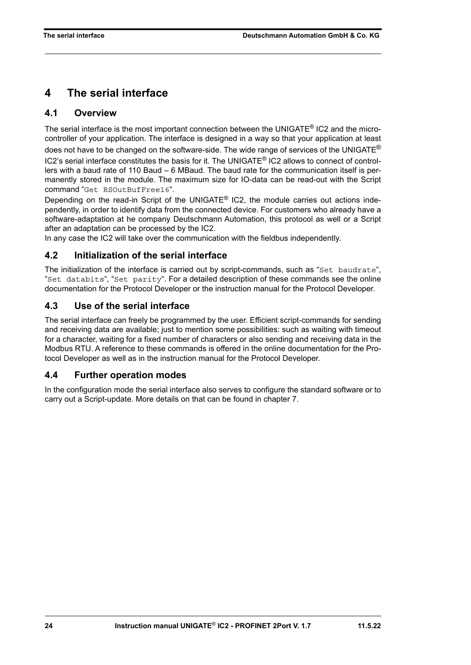# <span id="page-23-0"></span>**4 The serial interface**

### <span id="page-23-1"></span>**4.1 Overview**

The serial interface is the most important connection between the UNIGATE<sup>®</sup> IC2 and the microcontroller of your application. The interface is designed in a way so that your application at least does not have to be changed on the software-side. The wide range of services of the UNIGATE $^{\circledR}$ IC2's serial interface constitutes the basis for it. The UNIGATE® IC2 allows to connect of controllers with a baud rate of 110 Baud – 6 MBaud. The baud rate for the communication itself is permanently stored in the module. The maximum size for IO-data can be read-out with the Script command "Get RSOutBufFree16".

Depending on the read-in Script of the UNIGATE® IC2, the module carries out actions independently, in order to identify data from the connected device. For customers who already have a software-adaptation at he company Deutschmann Automation, this protocol as well or a Script after an adaptation can be processed by the IC2.

In any case the IC2 will take over the communication with the fieldbus independently.

### <span id="page-23-2"></span>**4.2 Initialization of the serial interface**

The initialization of the interface is carried out by script-commands, such as "Set baudrate", "Set databits", "Set parity". For a detailed description of these commands see the online documentation for the Protocol Developer or the instruction manual for the Protocol Developer.

### <span id="page-23-3"></span>**4.3 Use of the serial interface**

The serial interface can freely be programmed by the user. Efficient script-commands for sending and receiving data are available; just to mention some possibilities: such as waiting with timeout for a character, waiting for a fixed number of characters or also sending and receiving data in the Modbus RTU. A reference to these commands is offered in the online documentation for the Protocol Developer as well as in the instruction manual for the Protocol Developer.

### <span id="page-23-4"></span>**4.4 Further operation modes**

In the configuration mode the serial interface also serves to configure the standard software or to carry out a Script-update. More details on that can be found in [chapter 7](#page-26-0).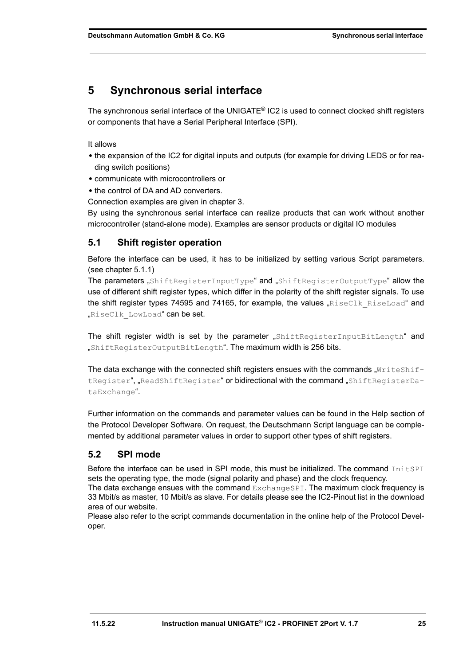# <span id="page-24-0"></span>**5 Synchronous serial interface**

The synchronous serial interface of the UNIGATE® IC2 is used to connect clocked shift registers or components that have a Serial Peripheral Interface (SPI).

It allows

- **•** the expansion of the IC2 for digital inputs and outputs (for example for driving LEDS or for reading switch positions)
- **•** communicate with microcontrollers or
- **•** the control of DA and AD converters.

Connection examples are given in [chapter 3](#page-11-0).

By using the synchronous serial interface can realize products that can work without another microcontroller (stand-alone mode). Examples are sensor products or digital IO modules

### <span id="page-24-1"></span>**5.1 Shift register operation**

Before the interface can be used, it has to be initialized by setting various Script parameters. (see chapter 5.1.1)

The parameters "ShiftRegisterInputType" and "ShiftRegisterOutputType" allow the use of different shift register types, which differ in the polarity of the shift register signals. To use the shift register types 74595 and 74165, for example, the values " $RiseClk$  RiseLoad" and "RiseClk LowLoad" can be set.

The shift register width is set by the parameter "ShiftRegisterInputBitLength" and "ShiftRegisterOutputBitLength". The maximum width is 256 bits.

The data exchange with the connected shift registers ensues with the commands  $\text{writeshif-}$ tRegister", "ReadShiftRegister" or bidirectional with the command "ShiftRegisterDataExchange".

Further information on the commands and parameter values can be found in the Help section of the Protocol Developer Software. On request, the Deutschmann Script language can be complemented by additional parameter values in order to support other types of shift registers.

### <span id="page-24-2"></span>**5.2 SPI mode**

Before the interface can be used in SPI mode, this must be initialized. The command InitSPI sets the operating type, the mode (signal polarity and phase) and the clock frequency.

The data exchange ensues with the command ExchangeSPI. The maximum clock frequency is 33 Mbit/s as master, 10 Mbit/s as slave. For details please see the IC2-Pinout list in the download area of our website.

Please also refer to the script commands documentation in the online help of the Protocol Developer.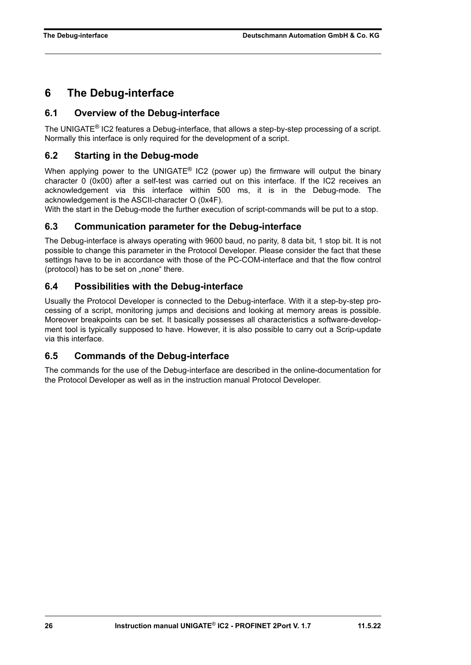# <span id="page-25-0"></span>**6 The Debug-interface**

#### <span id="page-25-1"></span>**6.1 Overview of the Debug-interface**

The UNIGATE® IC2 features a Debug-interface, that allows a step-by-step processing of a script. Normally this interface is only required for the development of a script.

#### <span id="page-25-2"></span>**6.2 Starting in the Debug-mode**

When applying power to the UNIGATE<sup>®</sup> IC2 (power up) the firmware will output the binary character 0 (0x00) after a self-test was carried out on this interface. If the IC2 receives an acknowledgement via this interface within 500 ms, it is in the Debug-mode. The acknowledgement is the ASCII-character O (0x4F).

With the start in the Debug-mode the further execution of script-commands will be put to a stop.

#### <span id="page-25-3"></span>**6.3 Communication parameter for the Debug-interface**

The Debug-interface is always operating with 9600 baud, no parity, 8 data bit, 1 stop bit. It is not possible to change this parameter in the Protocol Developer. Please consider the fact that these settings have to be in accordance with those of the PC-COM-interface and that the flow control (protocol) has to be set on "none" there.

#### <span id="page-25-4"></span>**6.4 Possibilities with the Debug-interface**

Usually the Protocol Developer is connected to the Debug-interface. With it a step-by-step processing of a script, monitoring jumps and decisions and looking at memory areas is possible. Moreover breakpoints can be set. It basically possesses all characteristics a software-development tool is typically supposed to have. However, it is also possible to carry out a Scrip-update via this interface.

#### <span id="page-25-5"></span>**6.5 Commands of the Debug-interface**

The commands for the use of the Debug-interface are described in the online-documentation for the Protocol Developer as well as in the instruction manual Protocol Developer.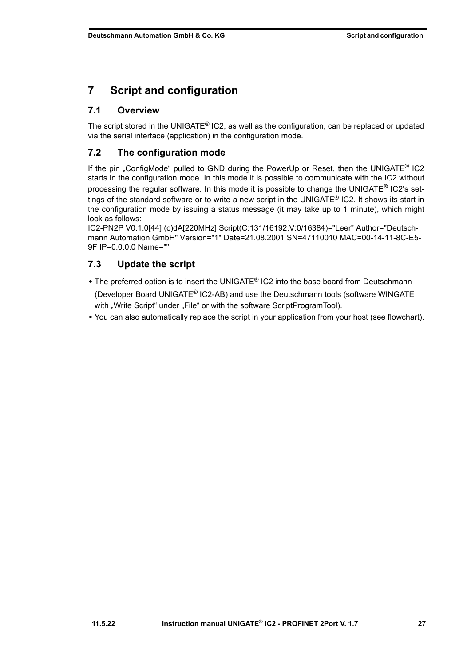# <span id="page-26-0"></span>**7 Script and configuration**

### <span id="page-26-1"></span>**7.1 Overview**

The script stored in the UNIGATE® IC2, as well as the configuration, can be replaced or updated via the serial interface (application) in the configuration mode.

### <span id="page-26-2"></span>**7.2 The configuration mode**

If the pin . ConfigMode" pulled to GND during the PowerUp or Reset, then the UNIGATE<sup>®</sup> IC2 starts in the configuration mode. In this mode it is possible to communicate with the IC2 without processing the regular software. In this mode it is possible to change the UNIGATE® IC2's settings of the standard software or to write a new script in the UNIGATE® IC2. It shows its start in the configuration mode by issuing a status message (it may take up to 1 minute), which might look as follows:

IC2-PN2P V0.1.0[44] (c)dA[220MHz] Script(C:131/16192,V:0/16384)="Leer" Author="Deutschmann Automation GmbH" Version="1" Date=21.08.2001 SN=47110010 MAC=00-14-11-8C-E5- 9F IP=0.0.0.0 Name=""

### <span id="page-26-3"></span>**7.3 Update the script**

- **•** The preferred option is to insert the UNIGATE® IC2 into the base board from Deutschmann (Developer Board UNIGATE® IC2-AB) and use the Deutschmann tools (software WINGATE with "Write Script" under "File" or with the software ScriptProgramTool).
- **•** You can also automatically replace the script in your application from your host (see flowchart).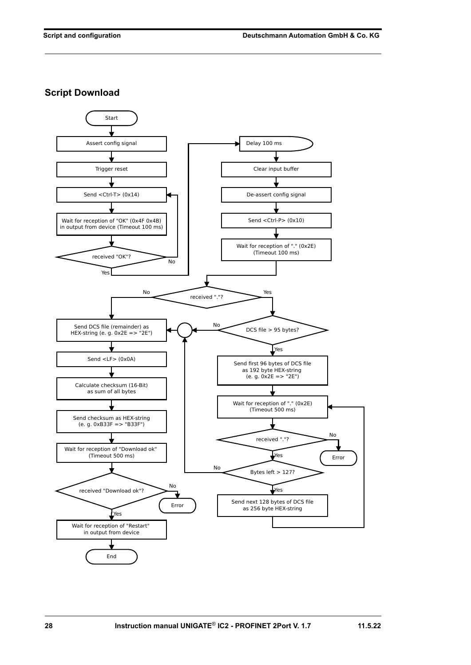**Script Download**

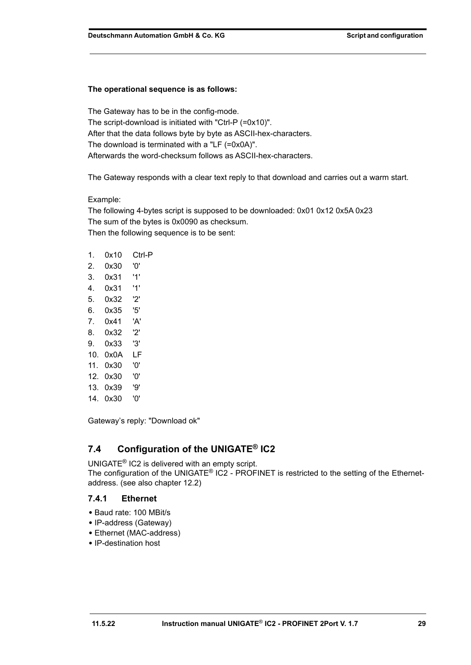#### **The operational sequence is as follows:**

The Gateway has to be in the config-mode. The script-download is initiated with "Ctrl-P (=0x10)". After that the data follows byte by byte as ASCII-hex-characters. The download is terminated with a "LF (=0x0A)". Afterwards the word-checksum follows as ASCII-hex-characters.

The Gateway responds with a clear text reply to that download and carries out a warm start.

#### Example:

The following 4-bytes script is supposed to be downloaded: 0x01 0x12 0x5A 0x23 The sum of the bytes is 0x0090 as checksum. Then the following sequence is to be sent:

| 1.  | 0x10 | Ctrl-P |
|-----|------|--------|
| 2.  | 0x30 | '0'    |
| 3.  | 0x31 | '1'    |
| 4.  | 0x31 | '1'    |
| 5.  | 0x32 | '2'    |
| 6.  | 0x35 | '5'    |
| 7.  | 0x41 | 'Α'    |
| 8.  | 0x32 | '2'    |
| 9.  | 0x33 | '3'    |
| 10. | 0x0A | LF     |
| 11. | 0x30 | '0'    |
| 12. | 0x30 | '0'    |
| 13. | 0x39 | פי'    |
| 14. | 0x30 | '0'    |

Gateway's reply: "Download ok"

# <span id="page-28-0"></span>**7.4 Configuration of the UNIGATE® IC2**

UNIGATE® IC2 is delivered with an empty script.

The configuration of the UNIGATE<sup>®</sup> IC2 - PROFINET is restricted to the setting of the Ethernetaddress. (see also [chapter 12.2](#page-37-2))

#### <span id="page-28-1"></span>**7.4.1 Ethernet**

- **•** Baud rate: 100 MBit/s
- **•** IP-address (Gateway)
- **•** Ethernet (MAC-address)
- **•** IP-destination host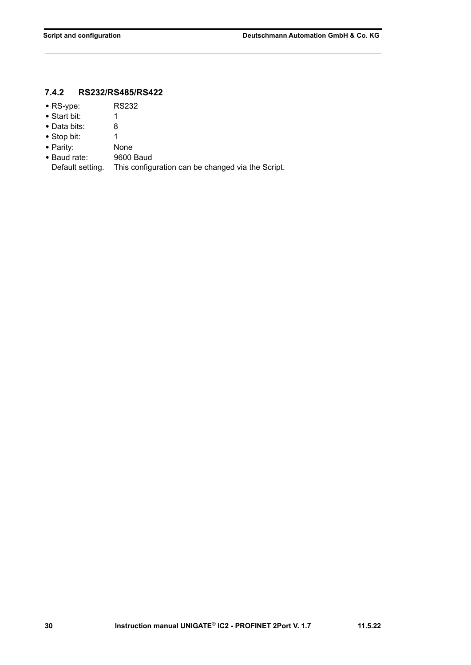### <span id="page-29-0"></span>**7.4.2 RS232/RS485/RS422**

- **•** RS-ype: RS232
- **•** Start bit: 1
- **•** Data bits: 8
- Stop bit: 1
- 
- **•** Parity: None • Baud rate:
- Default setting. This configuration can be changed via the Script.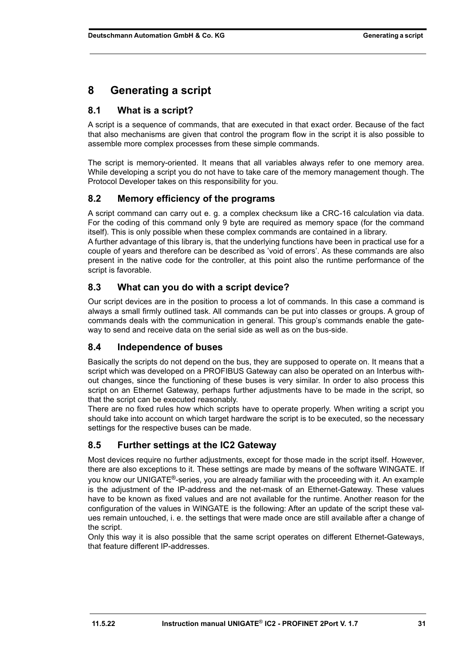# <span id="page-30-0"></span>**8 Generating a script**

### <span id="page-30-1"></span>**8.1 What is a script?**

A script is a sequence of commands, that are executed in that exact order. Because of the fact that also mechanisms are given that control the program flow in the script it is also possible to assemble more complex processes from these simple commands.

The script is memory-oriented. It means that all variables always refer to one memory area. While developing a script you do not have to take care of the memory management though. The Protocol Developer takes on this responsibility for you.

### <span id="page-30-2"></span>**8.2 Memory efficiency of the programs**

A script command can carry out e. g. a complex checksum like a CRC-16 calculation via data. For the coding of this command only 9 byte are required as memory space (for the command itself). This is only possible when these complex commands are contained in a library.

A further advantage of this library is, that the underlying functions have been in practical use for a couple of years and therefore can be described as 'void of errors'. As these commands are also present in the native code for the controller, at this point also the runtime performance of the script is favorable.

### <span id="page-30-3"></span>**8.3 What can you do with a script device?**

Our script devices are in the position to process a lot of commands. In this case a command is always a small firmly outlined task. All commands can be put into classes or groups. A group of commands deals with the communication in general. This group's commands enable the gateway to send and receive data on the serial side as well as on the bus-side.

### <span id="page-30-4"></span>**8.4 Independence of buses**

Basically the scripts do not depend on the bus, they are supposed to operate on. It means that a script which was developed on a PROFIBUS Gateway can also be operated on an Interbus without changes, since the functioning of these buses is very similar. In order to also process this script on an Ethernet Gateway, perhaps further adjustments have to be made in the script, so that the script can be executed reasonably.

There are no fixed rules how which scripts have to operate properly. When writing a script you should take into account on which target hardware the script is to be executed, so the necessary settings for the respective buses can be made.

### <span id="page-30-5"></span>**8.5 Further settings at the IC2 Gateway**

Most devices require no further adjustments, except for those made in the script itself. However, there are also exceptions to it. These settings are made by means of the software WINGATE. If you know our UNIGATE<sup>®</sup>-series, you are already familiar with the proceeding with it. An example is the adjustment of the IP-address and the net-mask of an Ethernet-Gateway. These values have to be known as fixed values and are not available for the runtime. Another reason for the configuration of the values in WINGATE is the following: After an update of the script these values remain untouched, i. e. the settings that were made once are still available after a change of the script.

Only this way it is also possible that the same script operates on different Ethernet-Gateways, that feature different IP-addresses.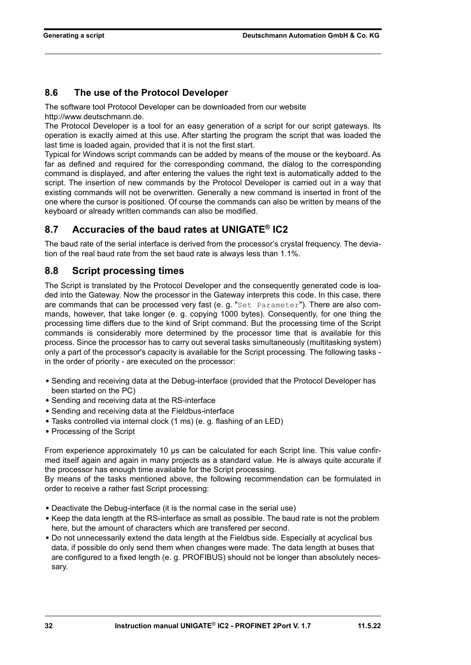### <span id="page-31-0"></span>**8.6 The use of the Protocol Developer**

The software tool Protocol Developer can be downloaded from our website http://www.deutschmann.de.

The Protocol Developer is a tool for an easy generation of a script for our script gateways. Its operation is exactly aimed at this use. After starting the program the script that was loaded the last time is loaded again, provided that it is not the first start.

Typical for Windows script commands can be added by means of the mouse or the keyboard. As far as defined and required for the corresponding command, the dialog to the corresponding command is displayed, and after entering the values the right text is automatically added to the script. The insertion of new commands by the Protocol Developer is carried out in a way that existing commands will not be overwritten. Generally a new command is inserted in front of the one where the cursor is positioned. Of course the commands can also be written by means of the keyboard or already written commands can also be modified.

### <span id="page-31-1"></span>**8.7 Accuracies of the baud rates at UNIGATE® IC2**

The baud rate of the serial interface is derived from the processor's crystal frequency. The deviation of the real baud rate from the set baud rate is always less than 1.1%.

### <span id="page-31-2"></span>**8.8 Script processing times**

The Script is translated by the Protocol Developer and the consequently generated code is loaded into the Gateway. Now the processor in the Gateway interprets this code. In this case, there are commands that can be processed very fast (e. g. "Set Parameter"). There are also commands, however, that take longer (e. g. copying 1000 bytes). Consequently, for one thing the processing time differs due to the kind of Sript command. But the processing time of the Script commands is considerably more determined by the processor time that is available for this process. Since the processor has to carry out several tasks simultaneously (multitasking system) only a part of the processor's capacity is available for the Script processing. The following tasks in the order of priority - are executed on the processor:

- **•** Sending and receiving data at the Debug-interface (provided that the Protocol Developer has been started on the PC)
- **•** Sending and receiving data at the RS-interface
- **•** Sending and receiving data at the Fieldbus-interface
- **•** Tasks controlled via internal clock (1 ms) (e. g. flashing of an LED)
- **•** Processing of the Script

From experience approximately 10 µs can be calculated for each Script line. This value confirmed itself again and again in many projects as a standard value. He is always quite accurate if the processor has enough time available for the Script processing.

By means of the tasks mentioned above, the following recommendation can be formulated in order to receive a rather fast Script processing:

- **•** Deactivate the Debug-interface (it is the normal case in the serial use)
- **•** Keep the data length at the RS-interface as small as possible. The baud rate is not the problem here, but the amount of characters which are transfered per second.
- **•** Do not unnecessarily extend the data length at the Fieldbus side. Especially at acyclical bus data, if possible do only send them when changes were made. The data length at buses that are configured to a fixed length (e. g. PROFIBUS) should not be longer than absolutely necessary.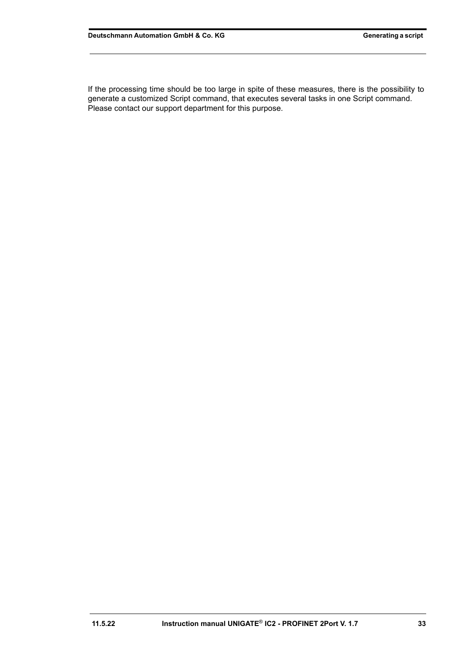If the processing time should be too large in spite of these measures, there is the possibility to generate a customized Script command, that executes several tasks in one Script command. Please contact our support department for this purpose.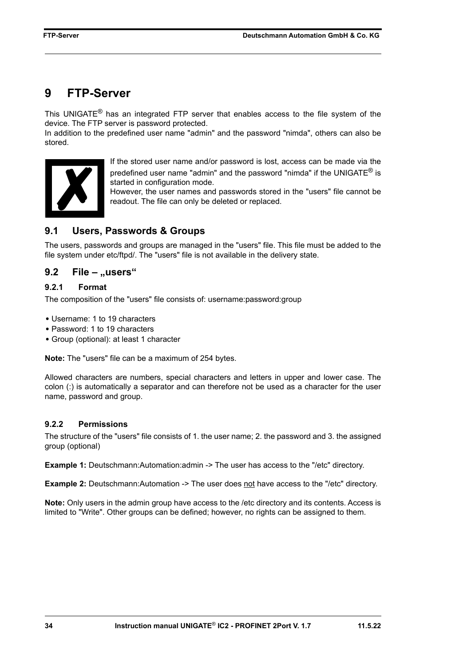# <span id="page-33-0"></span>**9 FTP-Server**

This UNIGATE $<sup>®</sup>$  has an integrated FTP server that enables access to the file system of the</sup> device. The FTP server is password protected.

In addition to the predefined user name "admin" and the password "nimda", others can also be stored.



If the stored user name and/or password is lost, access can be made via the predefined user name "admin" and the password "nimda" if the UNIGATE<sup>®</sup> is started in configuration mode.

However, the user names and passwords stored in the "users" file cannot be readout. The file can only be deleted or replaced.

### <span id="page-33-1"></span>**9.1 Users, Passwords & Groups**

The users, passwords and groups are managed in the "users" file. This file must be added to the file system under etc/ftpd/. The "users" file is not available in the delivery state.

### <span id="page-33-2"></span>**9.2 File – ..users**"

#### <span id="page-33-3"></span>**9.2.1 Format**

The composition of the "users" file consists of: username:password:group

- **•** Username: 1 to 19 characters
- **•** Password: 1 to 19 characters
- **•** Group (optional): at least 1 character

**Note:** The "users" file can be a maximum of 254 bytes.

Allowed characters are numbers, special characters and letters in upper and lower case. The colon (:) is automatically a separator and can therefore not be used as a character for the user name, password and group.

#### <span id="page-33-4"></span>**9.2.2 Permissions**

The structure of the "users" file consists of 1. the user name; 2. the password and 3. the assigned group (optional)

**Example 1:** Deutschmann:Automation:admin -> The user has access to the "/etc" directory.

**Example 2:** Deutschmann:Automation -> The user does not have access to the "/etc" directory.

**Note:** Only users in the admin group have access to the /etc directory and its contents. Access is limited to "Write". Other groups can be defined; however, no rights can be assigned to them.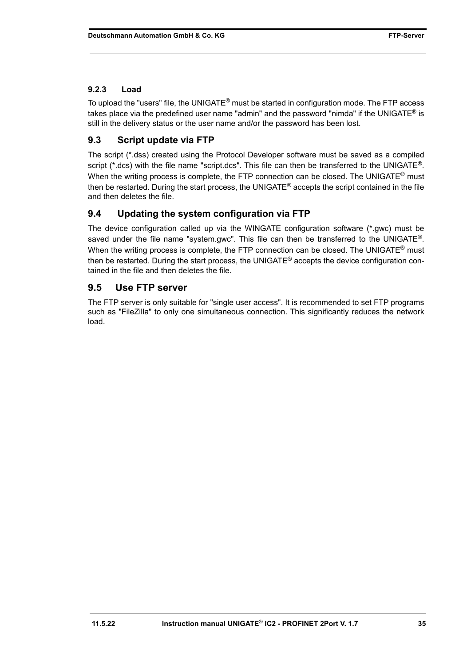#### <span id="page-34-0"></span>**9.2.3 Load**

To upload the "users" file, the UNIGATE<sup>®</sup> must be started in configuration mode. The FTP access takes place via the predefined user name "admin" and the password "nimda" if the UNIGATE® is still in the delivery status or the user name and/or the password has been lost.

### <span id="page-34-1"></span>**9.3 Script update via FTP**

The script (\*.dss) created using the Protocol Developer software must be saved as a compiled script (\*.dcs) with the file name "script.dcs". This file can then be transferred to the UNIGATE®. When the writing process is complete, the FTP connection can be closed. The UNIGATE<sup>®</sup> must then be restarted. During the start process, the UNIGATE® accepts the script contained in the file and then deletes the file.

### <span id="page-34-2"></span>**9.4 Updating the system configuration via FTP**

The device configuration called up via the WINGATE configuration software (\*.gwc) must be saved under the file name "system.gwc". This file can then be transferred to the UNIGATE®. When the writing process is complete, the FTP connection can be closed. The UNIGATE<sup>®</sup> must then be restarted. During the start process, the UNIGATE® accepts the device configuration contained in the file and then deletes the file.

### <span id="page-34-3"></span>**9.5 Use FTP server**

The FTP server is only suitable for "single user access". It is recommended to set FTP programs such as "FileZilla" to only one simultaneous connection. This significantly reduces the network load.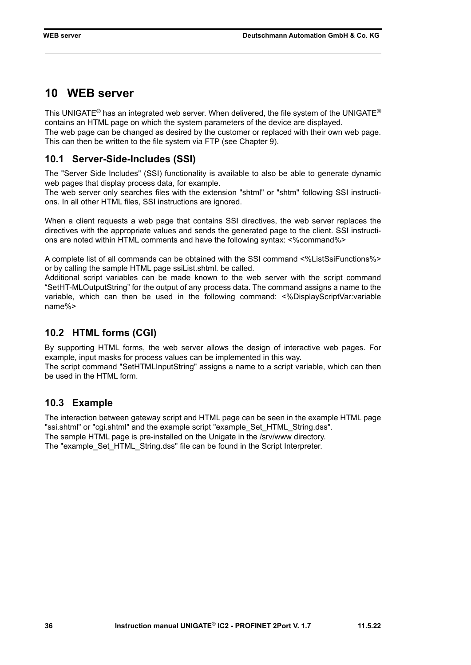# <span id="page-35-0"></span>**10 WEB server**

This UNIGATE<sup>®</sup> has an integrated web server. When delivered, the file system of the UNIGATE<sup>®</sup> contains an HTML page on which the system parameters of the device are displayed. The web page can be changed as desired by the customer or replaced with their own web page. This can then be written to the file system via FTP (see Chapter 9).

### <span id="page-35-1"></span>**10.1 Server-Side-Includes (SSI)**

The "Server Side Includes" (SSI) functionality is available to also be able to generate dynamic web pages that display process data, for example.

The web server only searches files with the extension "shtml" or "shtm" following SSI instructions. In all other HTML files, SSI instructions are ignored.

When a client requests a web page that contains SSI directives, the web server replaces the directives with the appropriate values and sends the generated page to the client. SSI instructions are noted within HTML comments and have the following syntax: <%command%>

A complete list of all commands can be obtained with the SSI command <%ListSsiFunctions%> or by calling the sample HTML page ssiList.shtml. be called.

Additional script variables can be made known to the web server with the script command "SetHT-MLOutputString" for the output of any process data. The command assigns a name to the variable, which can then be used in the following command: <%DisplayScriptVar:variable name%>

### <span id="page-35-2"></span>**10.2 HTML forms (CGI)**

By supporting HTML forms, the web server allows the design of interactive web pages. For example, input masks for process values can be implemented in this way.

The script command "SetHTMLInputString" assigns a name to a script variable, which can then be used in the HTML form.

### <span id="page-35-3"></span>**10.3 Example**

The interaction between gateway script and HTML page can be seen in the example HTML page "ssi.shtml" or "cgi.shtml" and the example script "example\_Set\_HTML\_String.dss". The sample HTML page is pre-installed on the Unigate in the /srv/www directory. The "example Set HTML String.dss" file can be found in the Script Interpreter.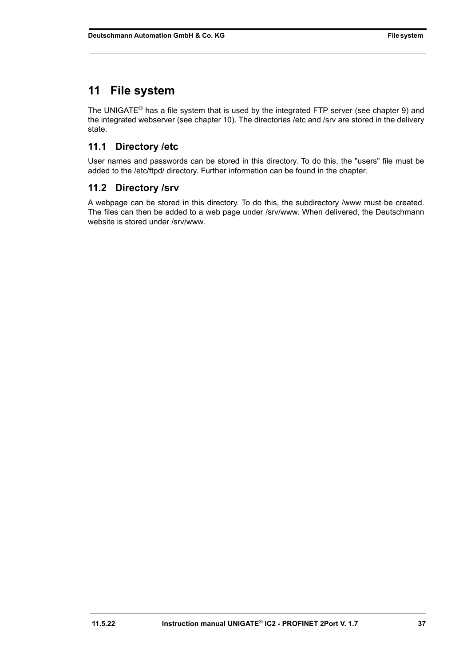# <span id="page-36-0"></span>**11 File system**

The UNIGATE<sup>®</sup> has a file system that is used by the integrated FTP server (see chapter 9) and the integrated webserver (see chapter 10). The directories /etc and /srv are stored in the delivery state.

# <span id="page-36-1"></span>**11.1 Directory /etc**

User names and passwords can be stored in this directory. To do this, the "users" file must be added to the /etc/ftpd/ directory. Further information can be found in the chapter.

### <span id="page-36-2"></span>**11.2 Directory /srv**

A webpage can be stored in this directory. To do this, the subdirectory /www must be created. The files can then be added to a web page under /srv/www. When delivered, the Deutschmann website is stored under /srv/www.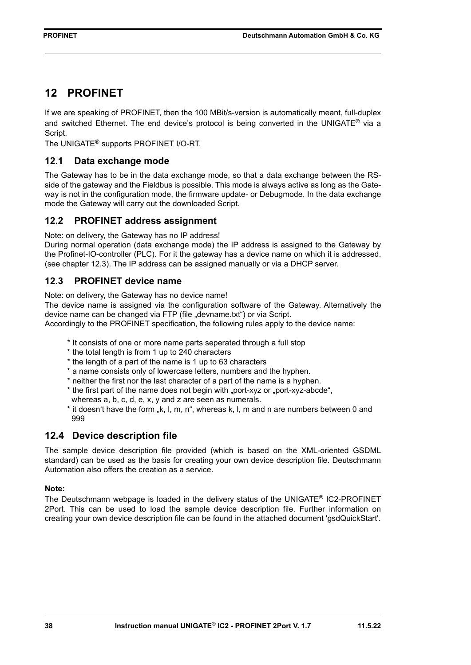# <span id="page-37-0"></span>**12 PROFINET**

If we are speaking of PROFINET, then the 100 MBit/s-version is automatically meant, full-duplex and switched Ethernet. The end device's protocol is being converted in the UNIGATE<sup>®</sup> via a Script.

The UNIGATE® supports PROFINET I/O-RT.

#### <span id="page-37-1"></span>**12.1 Data exchange mode**

The Gateway has to be in the data exchange mode, so that a data exchange between the RSside of the gateway and the Fieldbus is possible. This mode is always active as long as the Gateway is not in the configuration mode, the firmware update- or Debugmode. In the data exchange mode the Gateway will carry out the downloaded Script.

#### <span id="page-37-2"></span>**12.2 PROFINET address assignment**

Note: on delivery, the Gateway has no IP address!

During normal operation (data exchange mode) the IP address is assigned to the Gateway by the Profinet-IO-controller (PLC). For it the gateway has a device name on which it is addressed. (see [chapter 12.3](#page-37-3)). The IP address can be assigned manually or via a DHCP server.

#### <span id="page-37-3"></span>**12.3 PROFINET device name**

Note: on delivery, the Gateway has no device name!

The device name is assigned via the configuration software of the Gateway. Alternatively the device name can be changed via FTP (file "devname.txt") or via Script.

Accordingly to the PROFINET specification, the following rules apply to the device name:

- \* It consists of one or more name parts seperated through a full stop
- \* the total length is from 1 up to 240 characters
- \* the length of a part of the name is 1 up to 63 characters
- \* a name consists only of lowercase letters, numbers and the hyphen.
- \* neither the first nor the last character of a part of the name is a hyphen.
- \* the first part of the name does not begin with "port-xyz or "port-xyz-abcde",
- whereas a, b, c, d, e, x, y and z are seen as numerals.
- \* it doesn't have the form "k, l, m, n", whereas k, l, m and n are numbers between 0 and 999

### <span id="page-37-4"></span>**12.4 Device description file**

The sample device description file provided (which is based on the XML-oriented GSDML standard) can be used as the basis for creating your own device description file. Deutschmann Automation also offers the creation as a service.

#### **Note:**

The Deutschmann webpage is loaded in the delivery status of the UNIGATE® IC2-PROFINET 2Port. This can be used to load the sample device description file. Further information on creating your own device description file can be found in the attached document 'gsdQuickStart'.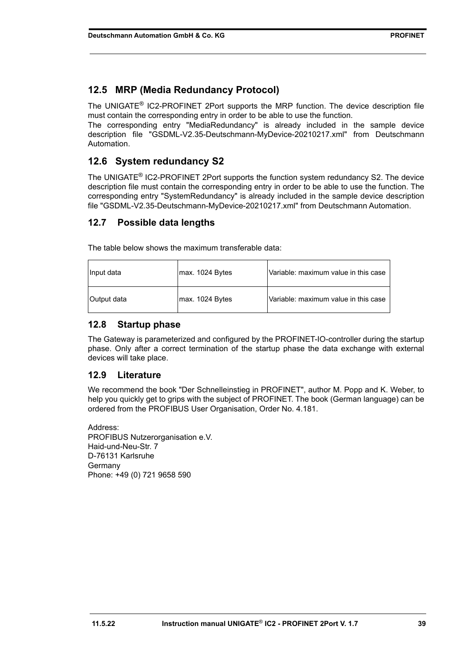### <span id="page-38-0"></span>**12.5 MRP (Media Redundancy Protocol)**

The UNIGATE® IC2-PROFINET 2Port supports the MRP function. The device description file must contain the corresponding entry in order to be able to use the function.

The corresponding entry "MediaRedundancy" is already included in the sample device description file "GSDML-V2.35-Deutschmann-MyDevice-20210217.xml" from Deutschmann Automation.

### <span id="page-38-1"></span>**12.6 System redundancy S2**

The UNIGATE® IC2-PROFINET 2Port supports the function system redundancy S2. The device description file must contain the corresponding entry in order to be able to use the function. The corresponding entry "SystemRedundancy" is already included in the sample device description file "GSDML-V2.35-Deutschmann-MyDevice-20210217.xml" from Deutschmann Automation.

#### <span id="page-38-2"></span>**12.7 Possible data lengths**

The table below shows the maximum transferable data:

| Input data  | max. 1024 Bytes | Variable: maximum value in this case   |
|-------------|-----------------|----------------------------------------|
| Output data | max. 1024 Bytes | l Variable: maximum value in this case |

#### <span id="page-38-3"></span>**12.8 Startup phase**

The Gateway is parameterized and configured by the PROFINET-IO-controller during the startup phase. Only after a correct termination of the startup phase the data exchange with external devices will take place.

#### <span id="page-38-4"></span>**12.9 Literature**

We recommend the book "Der Schnelleinstieg in PROFINET", author M. Popp and K. Weber, to help you quickly get to grips with the subject of PROFINET. The book (German language) can be ordered from the PROFIBUS User Organisation, Order No. 4.181.

Address: PROFIBUS Nutzerorganisation e.V. Haid-und-Neu-Str. 7 D-76131 Karlsruhe Germany Phone: +49 (0) 721 9658 590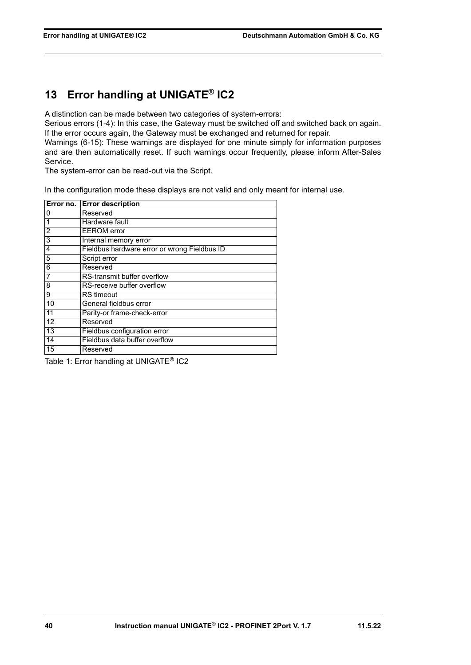# <span id="page-39-0"></span>**13 Error handling at UNIGATE® IC2**

A distinction can be made between two categories of system-errors:

Serious errors (1-4): In this case, the Gateway must be switched off and switched back on again. If the error occurs again, the Gateway must be exchanged and returned for repair.

Warnings (6-15): These warnings are displayed for one minute simply for information purposes and are then automatically reset. If such warnings occur frequently, please inform After-Sales Service.

The system-error can be read-out via the Script.

In the configuration mode these displays are not valid and only meant for internal use.

|                 | Error no. Error description                  |
|-----------------|----------------------------------------------|
| 0               | Reserved                                     |
|                 | Hardware fault                               |
| 2               | <b>EEROM</b> error                           |
| 3               | Internal memory error                        |
| 4               | Fieldbus hardware error or wrong Fieldbus ID |
| 5               | Script error                                 |
| 6               | Reserved                                     |
|                 | RS-transmit buffer overflow                  |
| 8               | RS-receive buffer overflow                   |
| 9               | <b>RS</b> timeout                            |
| 10              | General fieldbus error                       |
| 11              | Parity-or frame-check-error                  |
| 12              | Reserved                                     |
| $\overline{13}$ | Fieldbus configuration error                 |
| 14              | Fieldbus data buffer overflow                |
| 15              | Reserved                                     |

Table 1: Error handling at UNIGATE® IC2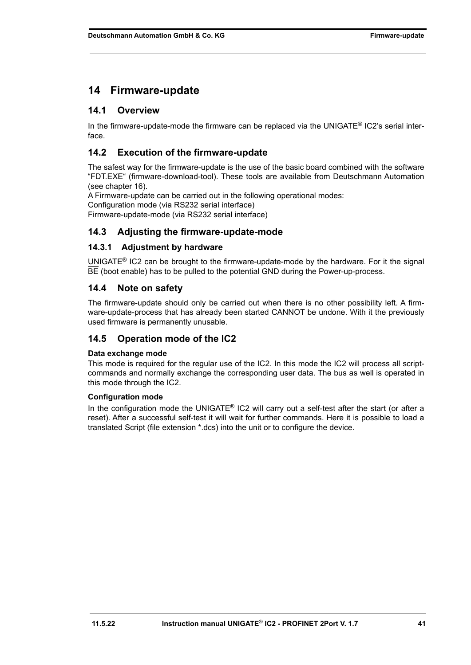### <span id="page-40-0"></span>**14 Firmware-update**

#### <span id="page-40-1"></span>**14.1 Overview**

In the firmware-update-mode the firmware can be replaced via the UNIGATE® IC2's serial interface.

#### <span id="page-40-2"></span>**14.2 Execution of the firmware-update**

The safest way for the firmware-update is the use of the basic board combined with the software "FDT.EXE" (firmware-download-tool). These tools are available from Deutschmann Automation (see [chapter 16\)](#page-44-0).

A Firmware-update can be carried out in the following operational modes: Configuration mode (via RS232 serial interface) Firmware-update-mode (via RS232 serial interface)

#### <span id="page-40-3"></span>**14.3 Adjusting the firmware-update-mode**

#### <span id="page-40-4"></span>**14.3.1 Adjustment by hardware**

UNIGATE<sup>®</sup> IC2 can be brought to the firmware-update-mode by the hardware. For it the signal BE (boot enable) has to be pulled to the potential GND during the Power-up-process.

#### <span id="page-40-5"></span>**14.4 Note on safety**

The firmware-update should only be carried out when there is no other possibility left. A firmware-update-process that has already been started CANNOT be undone. With it the previously used firmware is permanently unusable.

#### <span id="page-40-6"></span>**14.5 Operation mode of the IC2**

#### **Data exchange mode**

This mode is required for the regular use of the IC2. In this mode the IC2 will process all scriptcommands and normally exchange the corresponding user data. The bus as well is operated in this mode through the IC2.

#### **Configuration mode**

In the configuration mode the UNIGATE® IC2 will carry out a self-test after the start (or after a reset). After a successful self-test it will wait for further commands. Here it is possible to load a translated Script (file extension \*.dcs) into the unit or to configure the device.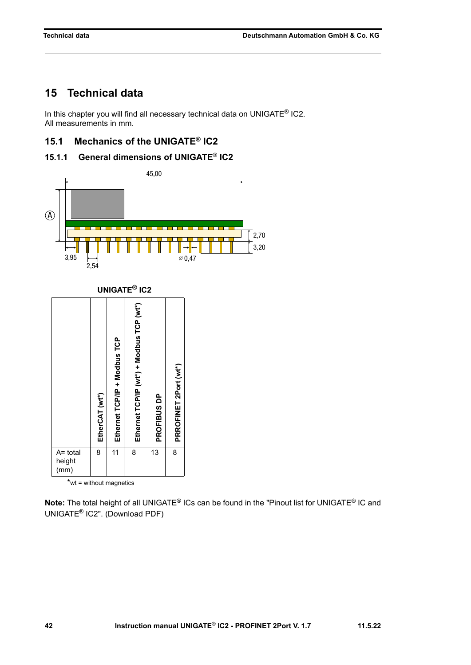2,70  $\frac{1}{3,20}$ 

# <span id="page-41-0"></span>**15 Technical data**

In this chapter you will find all necessary technical data on UNIGATE<sup>®</sup> IC2. All measurements in mm.

### <span id="page-41-1"></span>**15.1 Mechanics of the UNIGATE® IC2**

<span id="page-41-2"></span>



**Note:** The total height of all UNIGATE® ICs can be found in the "Pinout list for UNIGATE® IC and UNIGATE® [IC2". \(Download PDF\)](https://www.deutschmann.de/downloads//Support/Unigate-IC/UNIGATE%20IC%20and%20IC2%20device%20family%20pinout.pdf)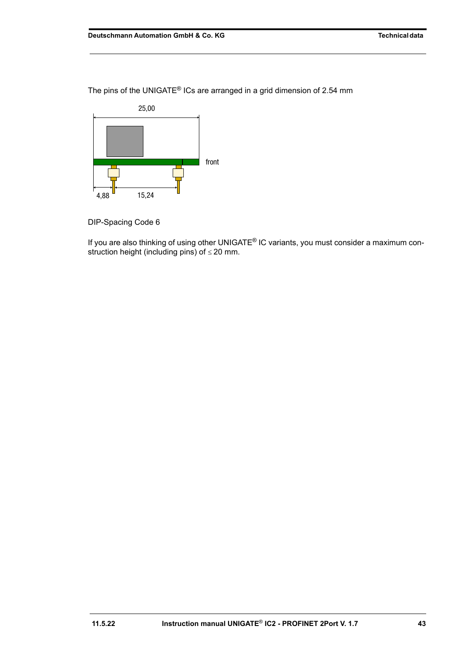The pins of the UNIGATE® ICs are arranged in a grid dimension of 2.54 mm



DIP-Spacing Code 6

If you are also thinking of using other UNIGATE® IC variants, you must consider a maximum construction height (including pins) of  $\leq$  20 mm.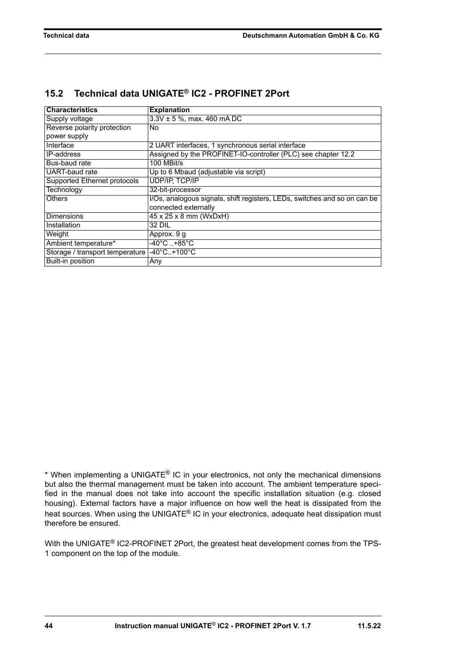### <span id="page-43-0"></span>**15.2 Technical data UNIGATE® IC2 - PROFINET 2Port**

| <b>Characteristics</b>                      | <b>Explanation</b>                                                        |
|---------------------------------------------|---------------------------------------------------------------------------|
| Supply voltage                              | $3.3V \pm 5$ %, max. 460 mA DC                                            |
| Reverse polarity protection                 | <b>No</b>                                                                 |
| power supply                                |                                                                           |
| Interface                                   | 2 UART interfaces, 1 synchronous serial interface                         |
| <b>IP-address</b>                           | Assigned by the PROFINET-IO-controller (PLC) see chapter 12.2             |
| Bus-baud rate                               | 100 MBit/s                                                                |
| UART-baud rate                              | Up to 6 Mbaud (adjustable via script)                                     |
| Supported Ethernet protocols                | <b>UDP/IP, TCP/IP</b>                                                     |
| Technology                                  | 32-bit-processor                                                          |
| <b>Others</b>                               | I/Os, analogous signals, shift registers, LEDs, switches and so on can be |
|                                             | connected externally                                                      |
| <b>Dimensions</b>                           | 45 x 25 x 8 mm (WxDxH)                                                    |
| Installation                                | 32 DIL                                                                    |
| Weight                                      | Approx. 9 g                                                               |
| Ambient temperature*                        | $-40^{\circ}$ C +85 $^{\circ}$ C                                          |
| Storage / transport temperature -40°C+100°C |                                                                           |
| Built-in position                           | Any                                                                       |

\* When implementing a UNIGATE® IC in your electronics, not only the mechanical dimensions but also the thermal management must be taken into account. The ambient temperature specified in the manual does not take into account the specific installation situation (e.g. closed housing). External factors have a major influence on how well the heat is dissipated from the heat sources. When using the UNIGATE® IC in your electronics, adequate heat dissipation must therefore be ensured.

With the UNIGATE<sup>®</sup> IC2-PROFINET 2Port, the greatest heat development comes from the TPS-1 component on the top of the module.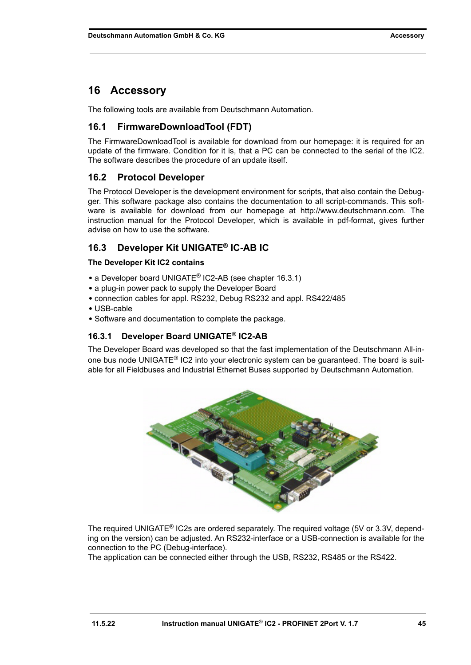# <span id="page-44-0"></span>**16 Accessory**

The following tools are available from Deutschmann Automation.

### <span id="page-44-1"></span>**16.1 FirmwareDownloadTool (FDT)**

The FirmwareDownloadTool is available for download from our homepage: it is required for an update of the firmware. Condition for it is, that a PC can be connected to the serial of the IC2. The software describes the procedure of an update itself.

### <span id="page-44-2"></span>**16.2 Protocol Developer**

The Protocol Developer is the development environment for scripts, that also contain the Debugger. This software package also contains the documentation to all script-commands. This software is available for download from our homepage at http://www.deutschmann.com. The [instruction manual for the Protocol Developer, which is available in pdf-format, gives further](http://www.deutschmann.com) advise on how to use the software.

### <span id="page-44-3"></span>**16.3 Developer Kit UNIGATE® IC-AB IC**

#### **The Developer Kit IC2 contains**

- **•** a Developer board UNIGATE® IC2-AB (see [chapter 16.3.1\)](#page-44-4)
- **•** a plug-in power pack to supply the Developer Board
- **•** connection cables for appl. RS232, Debug RS232 and appl. RS422/485
- **•** USB-cable
- **•** Software and documentation to complete the package.

#### <span id="page-44-4"></span>**16.3.1 Developer Board UNIGATE® IC2-AB**

The Developer Board was developed so that the fast implementation of the Deutschmann All-inone bus node UNIGATE® IC2 into your electronic system can be guaranteed. The board is suitable for all Fieldbuses and Industrial Ethernet Buses supported by Deutschmann Automation.



The required UNIGATE® IC2s are ordered separately. The required voltage (5V or 3.3V, depending on the version) can be adjusted. An RS232-interface or a USB-connection is available for the connection to the PC (Debug-interface).

The application can be connected either through the USB, RS232, RS485 or the RS422.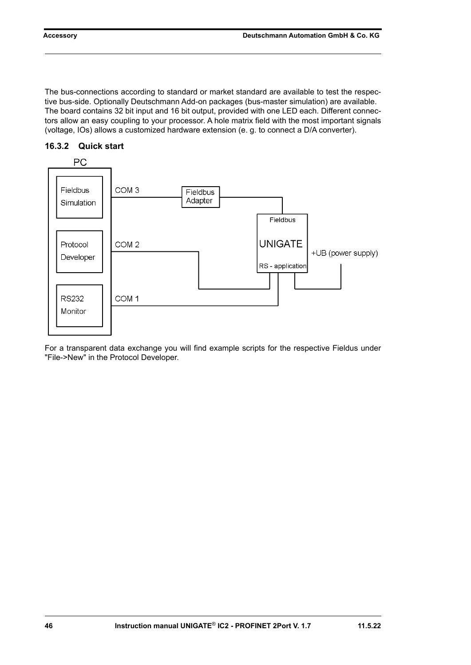The bus-connections according to standard or market standard are available to test the respective bus-side. Optionally Deutschmann Add-on packages (bus-master simulation) are available. The board contains 32 bit input and 16 bit output, provided with one LED each. Different connectors allow an easy coupling to your processor. A hole matrix field with the most important signals (voltage, IOs) allows a customized hardware extension (e. g. to connect a D/A converter).



#### <span id="page-45-0"></span>**16.3.2 Quick start**

For a transparent data exchange you will find example scripts for the respective Fieldus under "File->New" in the Protocol Developer.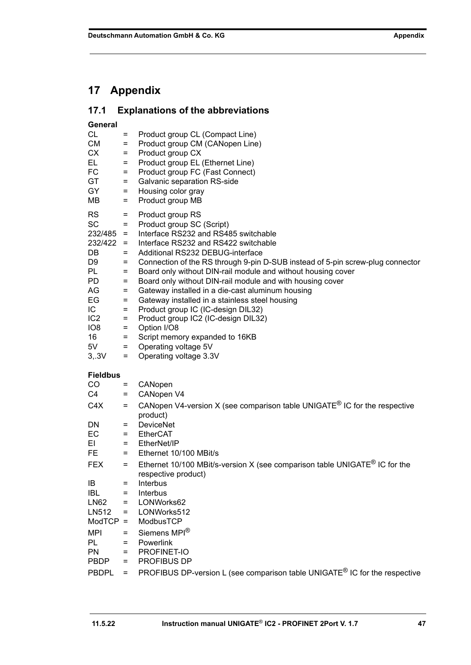# <span id="page-46-0"></span>**17 Appendix**

<span id="page-46-1"></span>

| 17.1 |  | <b>Explanations of the abbreviations</b> |
|------|--|------------------------------------------|
|------|--|------------------------------------------|

**General**

| General         |                |                                                                                        |
|-----------------|----------------|----------------------------------------------------------------------------------------|
| CL              | Ξ              | Product group CL (Compact Line)                                                        |
| <b>CM</b>       | Ξ              | Product group CM (CANopen Line)                                                        |
| CX              | $=$            | Product group CX                                                                       |
| EL.             | $=$            | Product group EL (Ethernet Line)                                                       |
| FC              | $=$            | Product group FC (Fast Connect)                                                        |
| GT              | $=$            | Galvanic separation RS-side                                                            |
| GY              | $=$            | Housing color gray                                                                     |
| MВ              | $=$            | Product group MB                                                                       |
| <b>RS</b>       | $=$            | Product group RS                                                                       |
| <b>SC</b>       | $=$            | Product group SC (Script)                                                              |
| $232/485 =$     |                | Interface RS232 and RS485 switchable                                                   |
| $232/422 =$     |                | Interface RS232 and RS422 switchable                                                   |
| DB              | $=$            | Additional RS232 DEBUG-interface                                                       |
|                 |                |                                                                                        |
| D9<br>PL        | $=$            | Connection of the RS through 9-pin D-SUB instead of 5-pin screw-plug connector         |
|                 | $=$            | Board only without DIN-rail module and without housing cover                           |
| <b>PD</b>       | $=$            | Board only without DIN-rail module and with housing cover                              |
| AG              | $=$            | Gateway installed in a die-cast aluminum housing                                       |
| EG              | $=$            | Gateway installed in a stainless steel housing                                         |
| IC.             | $=$            | Product group IC (IC-design DIL32)                                                     |
| IC <sub>2</sub> | $=$            | Product group IC2 (IC-design DIL32)                                                    |
| IO <sub>8</sub> | $=$            | Option I/O8                                                                            |
| 16              | $=$            | Script memory expanded to 16KB                                                         |
| 5V              | $=$ $-$        | Operating voltage 5V                                                                   |
| 3, .3V          | $=$            | Operating voltage 3.3V                                                                 |
| <b>Fieldbus</b> |                |                                                                                        |
| CO.             | Ξ.             | CANopen                                                                                |
| C4              | $=$            | CANopen V4                                                                             |
| C4X             | $=$            | CANopen V4-version X (see comparison table UNIGATE <sup>®</sup> IC for the respective  |
|                 |                | product)                                                                               |
| DN.             | $=$            | <b>DeviceNet</b>                                                                       |
| EC              |                | <b>EtherCAT</b>                                                                        |
| EL.             | $=$<br>$=$ $-$ | EtherNet/IP                                                                            |
|                 |                |                                                                                        |
| FE              | $=$            | Ethernet 10/100 MBit/s                                                                 |
| <b>FEX</b>      | $=$            | Ethernet 10/100 MBit/s-version X (see comparison table UNIGATE <sup>®</sup> IC for the |
|                 |                | respective product)                                                                    |
| IB              | $=$            | Interbus                                                                               |
| <b>IBL</b>      | $=$            | Interbus                                                                               |
| <b>LN62</b>     | $=$            | LONWorks62                                                                             |
| LN512           | $=$            | LONWorks512                                                                            |
| $ModTCP =$      |                | ModbusTCP                                                                              |
| <b>MPI</b>      | $=$            | Siemens MPI <sup>®</sup>                                                               |
| PL              | $=$            | Powerlink                                                                              |
| PN              | $=$            | PROFINET-IO                                                                            |
| <b>PBDP</b>     | $=$            | PROFIBUS DP                                                                            |
| <b>PBDPL</b>    | $=$            | PROFIBUS DP-version L (see comparison table UNIGATE <sup>®</sup> IC for the respective |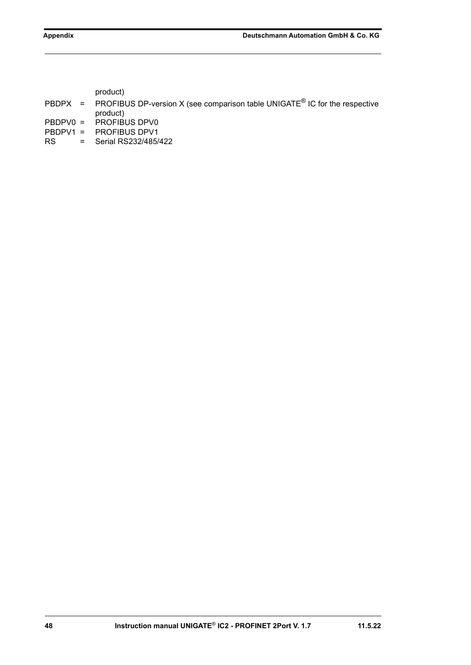product)

- PBDPX = PROFIBUS DP-version X (see comparison table UNIGATE<sup>®</sup> IC for the respective product)
- PBDPV0 = PROFIBUS DPV0<br>PBDPV1 = PROFIBUS DPV1
- PROFIBUS DPV1
- RS = Serial RS232/485/422